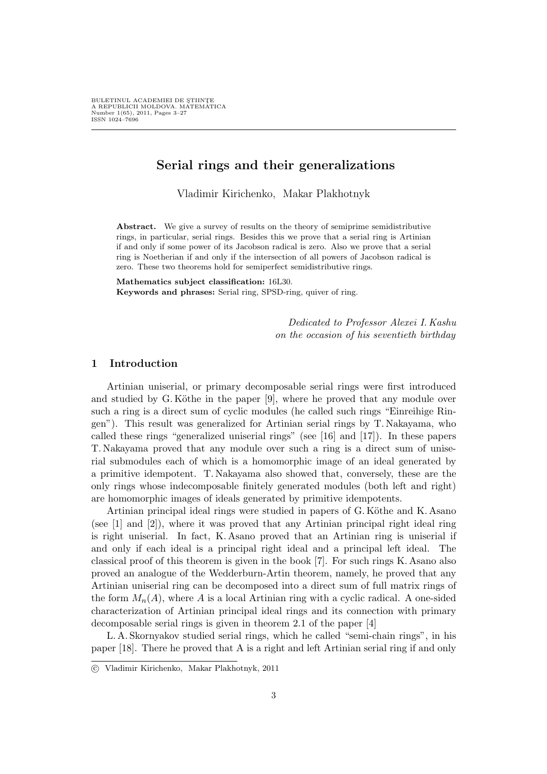# Serial rings and their generalizations

Vladimir Kirichenko, Makar Plakhotnyk

Abstract. We give a survey of results on the theory of semiprime semidistributive rings, in particular, serial rings. Besides this we prove that a serial ring is Artinian if and only if some power of its Jacobson radical is zero. Also we prove that a serial ring is Noetherian if and only if the intersection of all powers of Jacobson radical is zero. These two theorems hold for semiperfect semidistributive rings.

Mathematics subject classification: 16L30. Keywords and phrases: Serial ring, SPSD-ring, quiver of ring.

> Dedicated to Professor Alexei I. Kashu on the occasion of his seventieth birthday

# 1 Introduction

Artinian uniserial, or primary decomposable serial rings were first introduced and studied by G. Köthe in the paper  $[9]$ , where he proved that any module over such a ring is a direct sum of cyclic modules (he called such rings "Einreihige Ringen"). This result was generalized for Artinian serial rings by T. Nakayama, who called these rings "generalized uniserial rings" (see [16] and [17]). In these papers T. Nakayama proved that any module over such a ring is a direct sum of uniserial submodules each of which is a homomorphic image of an ideal generated by a primitive idempotent. T. Nakayama also showed that, conversely, these are the only rings whose indecomposable finitely generated modules (both left and right) are homomorphic images of ideals generated by primitive idempotents.

Artinian principal ideal rings were studied in papers of G. Köthe and K. Asano (see [1] and [2]), where it was proved that any Artinian principal right ideal ring is right uniserial. In fact, K. Asano proved that an Artinian ring is uniserial if and only if each ideal is a principal right ideal and a principal left ideal. The classical proof of this theorem is given in the book [7]. For such rings K. Asano also proved an analogue of the Wedderburn-Artin theorem, namely, he proved that any Artinian uniserial ring can be decomposed into a direct sum of full matrix rings of the form  $M_n(A)$ , where A is a local Artinian ring with a cyclic radical. A one-sided characterization of Artinian principal ideal rings and its connection with primary decomposable serial rings is given in theorem 2.1 of the paper [4]

L. A. Skornyakov studied serial rings, which he called "semi-chain rings", in his paper [18]. There he proved that A is a right and left Artinian serial ring if and only

<sup>°</sup>c Vladimir Kirichenko, Makar Plakhotnyk, 2011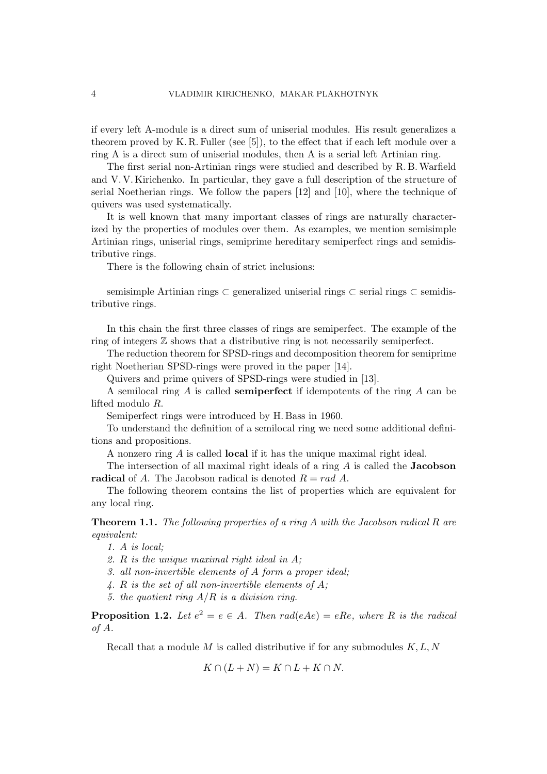if every left A-module is a direct sum of uniserial modules. His result generalizes a theorem proved by K. R. Fuller (see  $[5]$ ), to the effect that if each left module over a ring A is a direct sum of uniserial modules, then A is a serial left Artinian ring.

The first serial non-Artinian rings were studied and described by R. B.Warfield and V. V. Kirichenko. In particular, they gave a full description of the structure of serial Noetherian rings. We follow the papers [12] and [10], where the technique of quivers was used systematically.

It is well known that many important classes of rings are naturally characterized by the properties of modules over them. As examples, we mention semisimple Artinian rings, uniserial rings, semiprime hereditary semiperfect rings and semidistributive rings.

There is the following chain of strict inclusions:

semisimple Artinian rings ⊂ generalized uniserial rings ⊂ serial rings ⊂ semidistributive rings.

In this chain the first three classes of rings are semiperfect. The example of the ring of integers Z shows that a distributive ring is not necessarily semiperfect.

The reduction theorem for SPSD-rings and decomposition theorem for semiprime right Noetherian SPSD-rings were proved in the paper [14].

Quivers and prime quivers of SPSD-rings were studied in [13].

A semilocal ring  $A$  is called **semiperfect** if idempotents of the ring  $A$  can be lifted modulo R.

Semiperfect rings were introduced by H. Bass in 1960.

To understand the definition of a semilocal ring we need some additional definitions and propositions.

A nonzero ring A is called local if it has the unique maximal right ideal.

The intersection of all maximal right ideals of a ring  $A$  is called the **Jacobson** radical of A. The Jacobson radical is denoted  $R = rad A$ .

The following theorem contains the list of properties which are equivalent for any local ring.

**Theorem 1.1.** The following properties of a ring  $A$  with the Jacobson radical  $R$  are equivalent:

1. A is local;

2. R is the unique maximal right ideal in A;

3. all non-invertible elements of A form a proper ideal;

4. R is the set of all non-invertible elements of  $A$ ;

5. the quotient ring  $A/R$  is a division ring.

**Proposition 1.2.** Let  $e^2 = e \in A$ . Then rad(eAe) = eRe, where R is the radical of A.

Recall that a module  $M$  is called distributive if for any submodules  $K, L, N$ 

 $K \cap (L+N) = K \cap L + K \cap N.$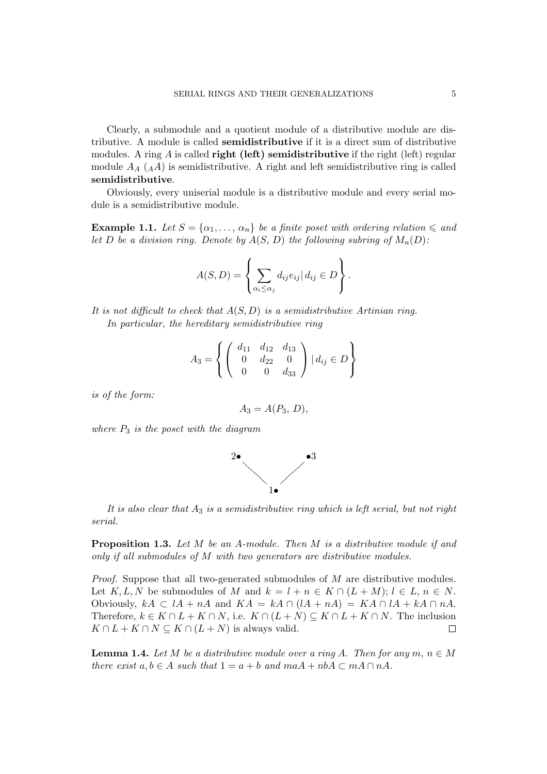Clearly, a submodule and a quotient module of a distributive module are distributive. A module is called semidistributive if it is a direct sum of distributive modules. A ring  $A$  is called **right (left) semidistributive** if the right (left) regular module  $A_A(A)$  is semidistributive. A right and left semidistributive ring is called semidistributive.

Obviously, every uniserial module is a distributive module and every serial module is a semidistributive module.

**Example 1.1.** Let  $S = \{\alpha_1, \dots, \alpha_n\}$  be a finite poset with ordering relation  $\leq a_n d$ let D be a division ring. Denote by  $A(S, D)$  the following subring of  $M_n(D)$ :

$$
A(S, D) = \left\{ \sum_{\alpha_i \leq \alpha_j} d_{ij} e_{ij} | d_{ij} \in D \right\}.
$$

It is not difficult to check that  $A(S, D)$  is a semidistributive Artinian ring. In particular, the hereditary semidistributive ring

$$
A_3 = \left\{ \left( \begin{array}{ccc} d_{11} & d_{12} & d_{13} \\ 0 & d_{22} & 0 \\ 0 & 0 & d_{33} \end{array} \right) \mid d_{ij} \in D \right\}
$$

is of the form:

$$
A_3=A(P_3,\,D),
$$

where  $P_3$  is the poset with the diagram



It is also clear that  $A_3$  is a semidistributive ring which is left serial, but not right serial.

**Proposition 1.3.** Let M be an A-module. Then M is a distributive module if and only if all submodules of M with two generators are distributive modules.

Proof. Suppose that all two-generated submodules of M are distributive modules. Let  $K, L, N$  be submodules of M and  $k = l + n \in K \cap (L + M); l \in L, n \in N$ . Obviously,  $kA \subset lA + nA$  and  $KA = kA \cap (lA + nA) = KA \cap lA + kA \cap nA$ . Therefore,  $k \in K \cap L + K \cap N$ , i.e.  $K \cap (L + N) \subseteq K \cap L + K \cap N$ . The inclusion  $K \cap L + K \cap N \subseteq K \cap (L + N)$  is always valid.  $\Box$ 

**Lemma 1.4.** Let M be a distributive module over a ring A. Then for any  $m, n \in M$ there exist  $a, b \in A$  such that  $1 = a + b$  and  $maA + nbA \subset mA \cap nA$ .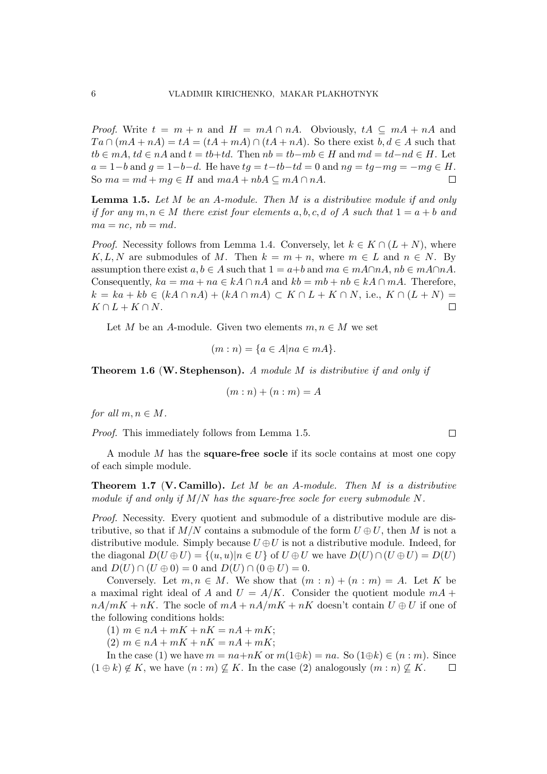*Proof.* Write  $t = m + n$  and  $H = mA \cap nA$ . Obviously,  $tA \subseteq mA + nA$  and  $Ta \cap (mA + nA) = tA = (tA + mA) \cap (tA + nA)$ . So there exist  $b, d \in A$  such that  $tb \in mA$ ,  $td \in nA$  and  $t = tb+td$ . Then  $nb = tb-mb \in H$  and  $md = td-nd \in H$ . Let  $a = 1-b$  and  $q = 1-b-d$ . He have  $tq = t-tb-td = 0$  and  $nq = tq-mq = -mq \in H$ . So  $ma = md + mg \in H$  and  $maA + nbA \subseteq mA \cap nA$ . П

**Lemma 1.5.** Let  $M$  be an  $A$ -module. Then  $M$  is a distributive module if and only if for any  $m, n \in M$  there exist four elements a, b, c, d of A such that  $1 = a + b$  and  $ma = nc$ ,  $nb = md$ .

*Proof.* Necessity follows from Lemma 1.4. Conversely, let  $k \in K \cap (L+N)$ , where K, L, N are submodules of M. Then  $k = m + n$ , where  $m \in L$  and  $n \in N$ . By assumption there exist  $a, b \in A$  such that  $1 = a+b$  and  $ma \in mA \cap A$ ,  $nb \in mA \cap A$ . Consequently,  $ka = ma + na \in kA \cap nA$  and  $kb = mb + nb \in kA \cap mA$ . Therefore,  $k = ka + kb \in (kA \cap nA) + (kA \cap mA) \subset K \cap L + K \cap N$ , i.e.,  $K \cap (L + N) =$  $K \cap L + K \cap N$ .  $\Box$ 

Let M be an A-module. Given two elements  $m, n \in M$  we set

$$
(m:n) = \{a \in A | na \in mA\}.
$$

**Theorem 1.6 (W. Stephenson).** A module M is distributive if and only if

$$
(m:n)+(n:m)=A\\
$$

for all  $m, n \in M$ .

Proof. This immediately follows from Lemma 1.5.

A module  $M$  has the **square-free socle** if its socle contains at most one copy of each simple module.

**Theorem 1.7 (V. Camillo).** Let  $M$  be an A-module. Then  $M$  is a distributive module if and only if  $M/N$  has the square-free socle for every submodule N.

Proof. Necessity. Every quotient and submodule of a distributive module are distributive, so that if  $M/N$  contains a submodule of the form  $U \oplus U$ , then M is not a distributive module. Simply because  $U \oplus U$  is not a distributive module. Indeed, for the diagonal  $D(U \oplus U) = \{(u, u)|n \in U\}$  of  $U \oplus U$  we have  $D(U) \cap (U \oplus U) = D(U)$ and  $D(U) \cap (U \oplus 0) = 0$  and  $D(U) \cap (0 \oplus U) = 0$ .

Conversely. Let  $m, n \in M$ . We show that  $(m:n) + (n:m) = A$ . Let K be a maximal right ideal of A and  $U = A/K$ . Consider the quotient module  $mA +$  $nA/mK + nK$ . The socle of  $mA + nA/mK + nK$  doesn't contain  $U \oplus U$  if one of the following conditions holds:

(1)  $m \in nA + mK + nK = nA + mK;$ 

(2)  $m \in nA + mK + nK = nA + mK;$ 

In the case (1) we have  $m = na+nK$  or  $m(1 \oplus k) = na$ . So  $(1 \oplus k) \in (n : m)$ . Since  $(1 \oplus k) \notin K$ , we have  $(n : m) \nsubseteq K$ . In the case (2) analogously  $(m : n) \nsubseteq K$ .  $\Box$ 

 $\Box$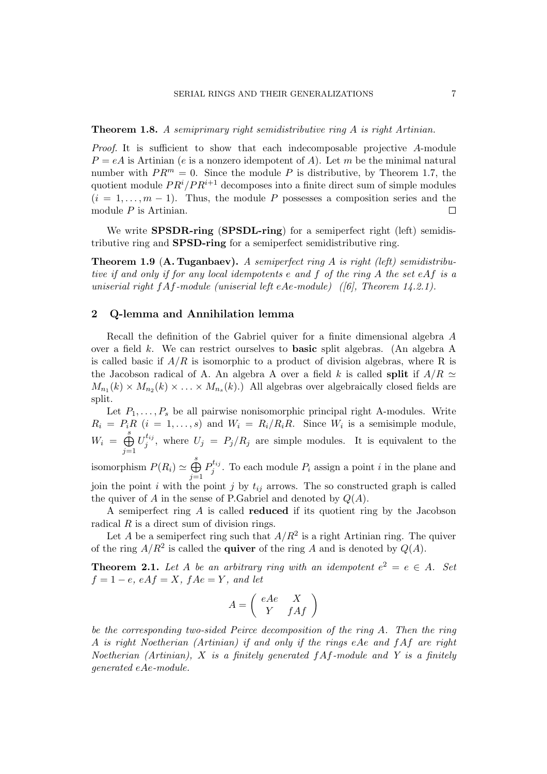Proof. It is sufficient to show that each indecomposable projective A-module  $P = eA$  is Artinian (e is a nonzero idempotent of A). Let m be the minimal natural number with  $PR^m = 0$ . Since the module P is distributive, by Theorem 1.7, the quotient module  $PR^{i}/PR^{i+1}$  decomposes into a finite direct sum of simple modules  $(i = 1, \ldots, m - 1)$ . Thus, the module P possesses a composition series and the module  $P$  is Artinian.  $\Box$ 

We write **SPSDR-ring** (SPSDL-ring) for a semiperfect right (left) semidistributive ring and SPSD-ring for a semiperfect semidistributive ring.

**Theorem 1.9 (A. Tuganbaev).** A semiperfect ring A is right (left) semidistributive if and only if for any local idempotents e and f of the ring A the set eAf is a uniserial right  $fA f$ -module (uniserial left eAe-module) ([6], Theorem 14.2.1).

# 2 Q-lemma and Annihilation lemma

Recall the definition of the Gabriel quiver for a finite dimensional algebra A over a field k. We can restrict ourselves to basic split algebras. (An algebra A is called basic if  $A/R$  is isomorphic to a product of division algebras, where R is the Jacobson radical of A. An algebra A over a field k is called split if  $A/R \simeq$  $M_{n_1}(k) \times M_{n_2}(k) \times \ldots \times M_{n_s}(k)$ .) All algebras over algebraically closed fields are split.

Let  $P_1, \ldots, P_s$  be all pairwise nonisomorphic principal right A-modules. Write  $R_i = P_i R$   $(i = 1, ..., s)$  and  $W_i = R_i/R_i R$ . Since  $W_i$  is a semisimple module,  $W_i =$  $\overline{\mathcal{L}}$  $j=1$  $\overline{U}_i^{t_{ij}}$  $j^{i_{ij}}$ , where  $U_j = P_j/R_j$  are simple modules. It is equivalent to the

isomorphism  $P(R_i) \simeq$  $\tilde{\mathcal{L}}$  $j=1$  $P_i^{t_{ij}}$  $j^{i_{ij}}$ . To each module  $P_i$  assign a point i in the plane and join the point i with the point j by  $t_{ij}$  arrows. The so constructed graph is called the quiver of A in the sense of P.Gabriel and denoted by  $Q(A)$ .

A semiperfect ring A is called reduced if its quotient ring by the Jacobson radical R is a direct sum of division rings.

Let A be a semiperfect ring such that  $A/R^2$  is a right Artinian ring. The quiver of the ring  $A/R^2$  is called the **quiver** of the ring A and is denoted by  $Q(A)$ .

**Theorem 2.1.** Let A be an arbitrary ring with an idempotent  $e^2 = e \in A$ . Set  $f = 1 - e$ ,  $eAf = X$ ,  $fAe = Y$ , and let

$$
A = \left(\begin{array}{cc} eAe & X \\ Y & fAf \end{array}\right)
$$

be the corresponding two-sided Peirce decomposition of the ring A. Then the ring A is right Noetherian (Artinian) if and only if the rings eAe and fAf are right Noetherian (Artinian),  $X$  is a finitely generated  $fA f$ -module and Y is a finitely generated eAe-module.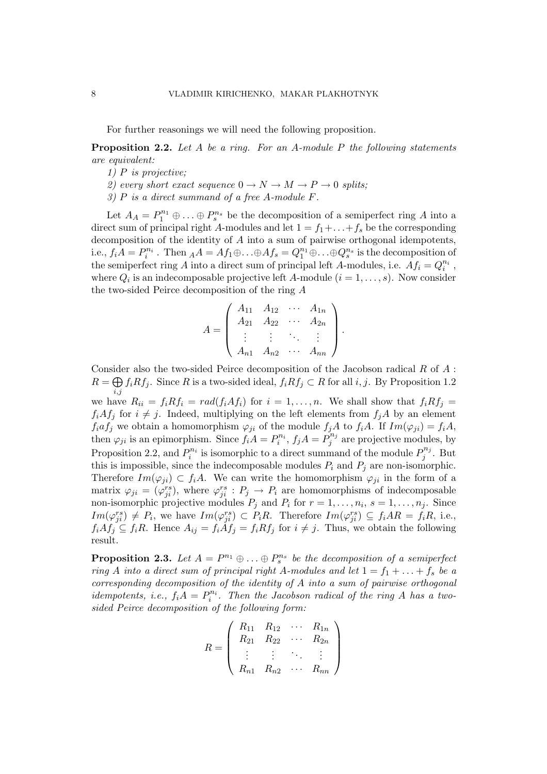For further reasonings we will need the following proposition.

**Proposition 2.2.** Let A be a ring. For an A-module P the following statements are equivalent:

- 1)  $P$  is projective;
- 2) every short exact sequence  $0 \to N \to M \to P \to 0$  splits;
- 3) P is a direct summand of a free A-module F.

Let  $A_A = P_1^{n_1} \oplus \ldots \oplus P_s^{n_s}$  be the decomposition of a semiperfect ring A into a direct sum of principal right A-modules and let  $1 = f_1 + \ldots + f_s$  be the corresponding decomposition of the identity of A into a sum of pairwise orthogonal idempotents, i.e.,  $f_iA = P_i^{n_i}$  . Then  $_AA = Af_1 \oplus \ldots \oplus Af_s = Q_1^{n_1} \oplus \ldots \oplus Q_s^{n_s}$  is the decomposition of the semiperfect ring A into a direct sum of principal left A-modules, i.e.  $A f_i = Q_i^{n_i}$ , where  $Q_i$  is an indecomposable projective left A-module  $(i = 1, \ldots, s)$ . Now consider the two-sided Peirce decomposition of the ring A

$$
A = \left( \begin{array}{cccc} A_{11} & A_{12} & \cdots & A_{1n} \\ A_{21} & A_{22} & \cdots & A_{2n} \\ \vdots & \vdots & \ddots & \vdots \\ A_{n1} & A_{n2} & \cdots & A_{nn} \end{array} \right)
$$

.

Consider also the two-sided Peirce decomposition of the Jacobson radical  $R$  of  $A$ :  $R = \bigoplus f_i R f_j$ . Since R is a two-sided ideal,  $f_i R f_j \subset R$  for all  $i, j$ . By Proposition 1.2 i,j

we have  $R_{ii} = f_i R f_i = rad(f_i A f_i)$  for  $i = 1, ..., n$ . We shall show that  $f_i R f_j =$  $f_iAf_j$  for  $i \neq j$ . Indeed, multiplying on the left elements from  $f_jA$  by an element  $f_iaf_j$  we obtain a homomorphism  $\varphi_{ji}$  of the module  $f_jA$  to  $f_iA$ . If  $Im(\varphi_{ji}) = f_iA$ , then  $\varphi_{ji}$  is an epimorphism. Since  $f_i A = P_i^{n_i}, f_j A = P_j^{n_j}$  $j^{n_j}$  are projective modules, by Proposition 2.2, and  $P_i^{n_i}$  is isomorphic to a direct summand of the module  $P_j^{n_j}$  $j^{n_j}$ . But this is impossible, since the indecomposable modules  $P_i$  and  $P_j$  are non-isomorphic. Therefore  $Im(\varphi_{ii}) \subset f_iA$ . We can write the homomorphism  $\varphi_{ii}$  in the form of a matrix  $\varphi_{ji} = (\varphi_{ji}^{rs}),$  where  $\varphi_{ji}^{rs}: P_j \to P_i$  are homomorphisms of indecomposable non-isomorphic projective modules  $P_j$  and  $P_i$  for  $r = 1, \ldots, n_i$ ,  $s = 1, \ldots, n_j$ . Since  $Im(\varphi_{ji}^{rs}) \neq P_i$ , we have  $Im(\varphi_{ji}^{rs}) \subset P_iR$ . Therefore  $Im(\varphi_{ji}^{rs}) \subseteq f_iAR = f_iR$ , i.e.,  $f_iAf_j \subseteq f_iR$ . Hence  $A_{ij} = f_i\tilde{A}f_j = f_iRf_j$  for  $i \neq j$ . Thus, we obtain the following result.

**Proposition 2.3.** Let  $A = P^{n_1} \oplus \ldots \oplus P_s^{n_s}$  be the decomposition of a semiperfect ring A into a direct sum of principal right A-modules and let  $1 = f_1 + \ldots + f_s$  be a corresponding decomposition of the identity of A into a sum of pairwise orthogonal idempotents, i.e.,  $f_i A = P_i^{n_i}$ . Then the Jacobson radical of the ring A has a twosided Peirce decomposition of the following form:

$$
R = \left( \begin{array}{cccc} R_{11} & R_{12} & \cdots & R_{1n} \\ R_{21} & R_{22} & \cdots & R_{2n} \\ \vdots & \vdots & \ddots & \vdots \\ R_{n1} & R_{n2} & \cdots & R_{nn} \end{array} \right)
$$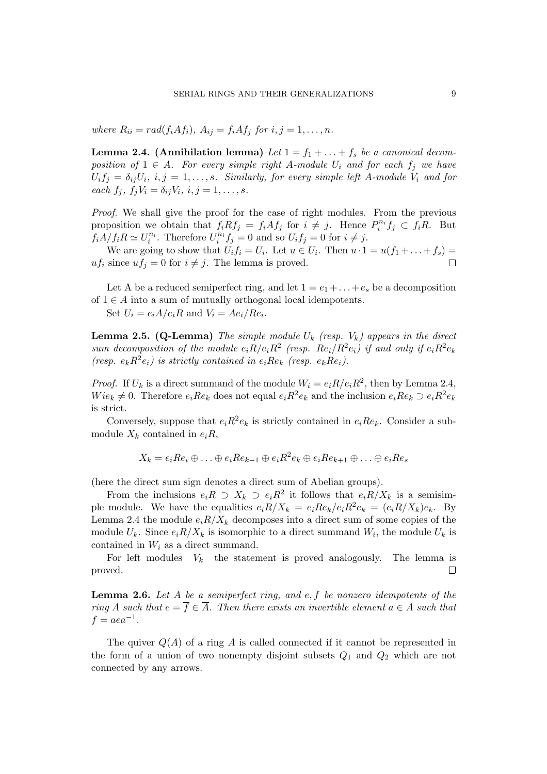where  $R_{ii} = rad(f_iAf_i)$ ,  $A_{ij} = f_iAf_j$  for  $i, j = 1, \ldots, n$ .

**Lemma 2.4.** (Annihilation lemma) Let  $1 = f_1 + \ldots + f_s$  be a canonical decomposition of  $1 \in A$ . For every simple right A-module  $U_i$  and for each  $f_i$  we have  $U_i f_j = \delta_{ij} U_i, i, j = 1, \ldots, s$ . Similarly, for every simple left A-module  $V_i$  and for each  $f_i$ ,  $f_jV_i = \delta_{ij}V_i$ ,  $i, j = 1, \ldots, s$ .

Proof. We shall give the proof for the case of right modules. From the previous proposition we obtain that  $f_i R f_j = f_i A f_j$  for  $i \neq j$ . Hence  $P_i^{n_i} f_j \subset f_i R$ . But  $f_i A/f_i R \simeq U_i^{n_i}$ . Therefore  $U_i^{n_i} f_j = 0$  and so  $U_i f_j = 0$  for  $i \neq j$ .

We are going to show that  $U_i f_i = U_i$ . Let  $u \in U_i$ . Then  $u \cdot 1 = u(f_1 + \ldots + f_s) =$  $uf_i$  since  $uf_j = 0$  for  $i \neq j$ . The lemma is proved.

Let A be a reduced semiperfect ring, and let  $1 = e_1 + \ldots + e_s$  be a decomposition of  $1 \in A$  into a sum of mutually orthogonal local idempotents.

Set  $U_i = e_i A/e_i R$  and  $V_i = Ae_i/Re_i$ .

**Lemma 2.5. (Q-Lemma)** The simple module  $U_k$  (resp.  $V_k$ ) appears in the direct sum decomposition of the module  $e_i R/e_i R^2$  (resp.  $Re_i/R^2 e_i$ ) if and only if  $e_i R^2 e_k$ (resp.  $e_k R^2 e_i$ ) is strictly contained in  $e_i R e_k$  (resp.  $e_k R e_i$ ).

*Proof.* If  $U_k$  is a direct summand of the module  $W_i = e_i R / e_i R^2$ , then by Lemma 2.4,  $Wie_k \neq 0$ . Therefore  $e_iRe_k$  does not equal  $e_iR^2e_k$  and the inclusion  $e_iRe_k \supset e_iR^2e_k$ is strict.

Conversely, suppose that  $e_i R^2 e_k$  is strictly contained in  $e_i R e_k$ . Consider a submodule  $X_k$  contained in  $e_iR$ ,

$$
X_k = e_i R e_i \oplus \ldots \oplus e_i R e_{k-1} \oplus e_i R^2 e_k \oplus e_i R e_{k+1} \oplus \ldots \oplus e_i R e_s
$$

(here the direct sum sign denotes a direct sum of Abelian groups).

From the inclusions  $e_iR \supset X_k \supset e_iR^2$  it follows that  $e_iR/X_k$  is a semisimple module. We have the equalities  $e_i R/X_k = e_i R e_k / e_i R^2 e_k = (e_i R/X_k) e_k$ . By Lemma 2.4 the module  $e_iR/X_k$  decomposes into a direct sum of some copies of the module  $U_k$ . Since  $e_i R/X_k$  is isomorphic to a direct summand  $W_i$ , the module  $U_k$  is contained in  $W_i$  as a direct summand.

For left modules  $V_k$  the statement is proved analogously. The lemma is proved.  $\Box$ 

**Lemma 2.6.** Let A be a semiperfect ring, and e, f be nonzero idempotents of the ring A such that  $\overline{e} = \overline{f} \in \overline{A}$ . Then there exists an invertible element  $a \in A$  such that  $f = aea^{-1}.$ 

The quiver  $Q(A)$  of a ring A is called connected if it cannot be represented in the form of a union of two nonempty disjoint subsets  $Q_1$  and  $Q_2$  which are not connected by any arrows.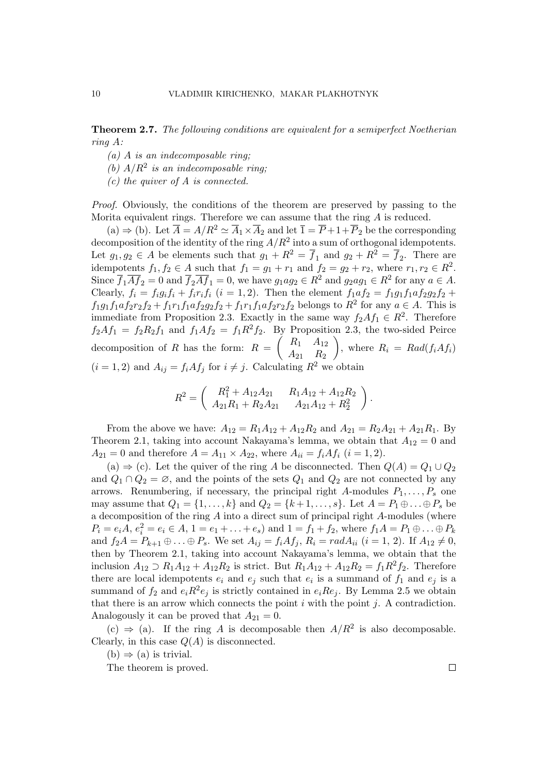Theorem 2.7. The following conditions are equivalent for a semiperfect Noetherian ring A:

- $(a)$  A is an indecomposable ring;
- (b)  $A/R^2$  is an indecomposable ring;
- $(c)$  the quiver of A is connected.

Proof. Obviously, the conditions of the theorem are preserved by passing to the Morita equivalent rings. Therefore we can assume that the ring  $A$  is reduced.

(a)  $\Rightarrow$  (b). Let  $\overline{A} = A/R^2 \simeq \overline{A}_1 \times \overline{A}_2$  and let  $\overline{1} = \overline{P} + 1 + \overline{P}_2$  be the corresponding decomposition of the identity of the ring  $A/R^2$  into a sum of orthogonal idempotents. Let  $g_1, g_2 \in A$  be elements such that  $g_1 + R^2 = \overline{f}_1$  and  $g_2 + R^2 = \overline{f}_2$ . There are idempotents  $f_1, f_2 \in A$  such that  $f_1 = g_1 + r_1$  and  $f_2 = g_2 + r_2$ , where  $r_1, r_2 \in R^2$ . Since  $\overline{f}_1 \overline{A} \overline{f}_2 = 0$  and  $\overline{f}_2 \overline{A} \overline{f}_1 = 0$ , we have  $g_1 a g_2 \in \mathbb{R}^2$  and  $g_2 a g_1 \in \mathbb{R}^2$  for any  $a \in \mathbb{A}$ . Clearly,  $f_i = f_i g_i f_i + f_i r_i f_i$   $(i = 1, 2)$ . Then the element  $f_1 a f_2 = f_1 g_1 f_1 a f_2 g_2 f_2 +$  $f_1g_1f_1af_2r_2f_2 + f_1r_1f_1af_2g_2f_2 + f_1r_1f_1af_2r_2f_2$  belongs to  $R^2$  for any  $a \in A$ . This is immediate from Proposition 2.3. Exactly in the same way  $f_2Af_1 \in R^2$ . Therefore  $f_2Af_1 = f_2R_2f_1$  and  $f_1Af_2 = f_1R^2f_2$ . By Proposition 2.3, the two-sided Peirce decomposition of R has the form:  $R = \begin{pmatrix} R_1 & A_{12} \\ A & R_1 \end{pmatrix}$  $A_{21}$   $A_{22}$  , where  $R_i = Rad(f_iAf_i)$  $(i = 1, 2)$  and  $A_{ij} = f_i A f_j$  for  $i \neq j$ . Calculating  $R^2$  we obtain

$$
R^2 = \begin{pmatrix} R_1^2 + A_{12}A_{21} & R_1A_{12} + A_{12}R_2 \ A_{21}R_1 + R_2A_{21} & A_{21}A_{12} + R_2^2 \end{pmatrix}.
$$

From the above we have:  $A_{12} = R_1 A_{12} + A_{12} R_2$  and  $A_{21} = R_2 A_{21} + A_{21} R_1$ . By Theorem 2.1, taking into account Nakayama's lemma, we obtain that  $A_{12} = 0$  and  $A_{21} = 0$  and therefore  $A = A_{11} \times A_{22}$ , where  $A_{ii} = f_i A f_i$   $(i = 1, 2)$ .

(a)  $\Rightarrow$  (c). Let the quiver of the ring A be disconnected. Then  $Q(A) = Q_1 \cup Q_2$ and  $Q_1 \cap Q_2 = \emptyset$ , and the points of the sets  $Q_1$  and  $Q_2$  are not connected by any arrows. Renumbering, if necessary, the principal right A-modules  $P_1, \ldots, P_s$  one may assume that  $Q_1 = \{1, \ldots, k\}$  and  $Q_2 = \{k+1, \ldots, s\}$ . Let  $A = P_1 \oplus \ldots \oplus P_s$  be a decomposition of the ring A into a direct sum of principal right A-modules (where  $P_i = e_i A, e_i^2 = e_i \in A, 1 = e_1 + \ldots + e_s$  and  $1 = f_1 + f_2$ , where  $f_1 A = P_1 \oplus \ldots \oplus P_k$ and  $f_2A = P_{k+1} \oplus ... \oplus P_s$ . We set  $A_{ij} = f_iAf_j$ ,  $R_i = rad A_{ii}$   $(i = 1, 2)$ . If  $A_{12} \neq 0$ , then by Theorem 2.1, taking into account Nakayama's lemma, we obtain that the inclusion  $A_{12} \supset R_1A_{12} + A_{12}R_2$  is strict. But  $R_1A_{12} + A_{12}R_2 = f_1R^2f_2$ . Therefore there are local idempotents  $e_i$  and  $e_j$  such that  $e_i$  is a summand of  $f_1$  and  $e_j$  is a summand of  $f_2$  and  $e_iR^2e_j$  is strictly contained in  $e_iRe_j$ . By Lemma 2.5 we obtain that there is an arrow which connects the point  $i$  with the point  $j$ . A contradiction. Analogously it can be proved that  $A_{21} = 0$ .

(c)  $\Rightarrow$  (a). If the ring A is decomposable then  $A/R^2$  is also decomposable. Clearly, in this case  $Q(A)$  is disconnected.

 $(b) \Rightarrow (a)$  is trivial.

The theorem is proved.

 $\Box$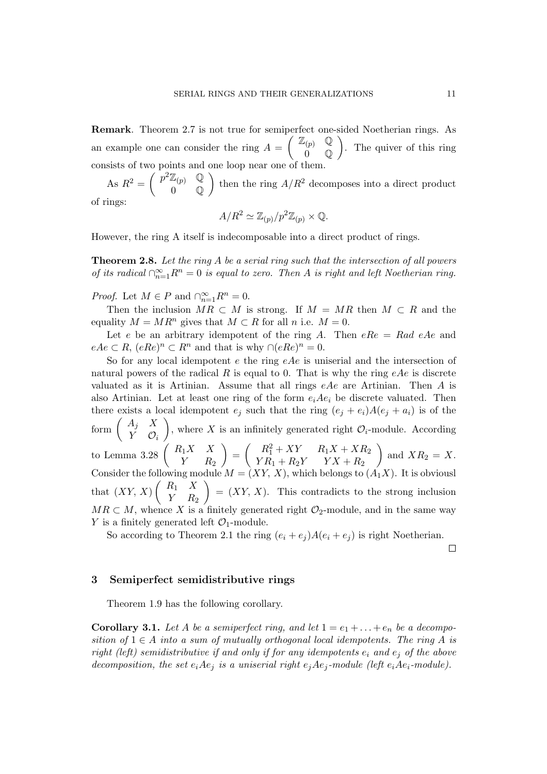Remark. Theorem 2.7 is not true for semiperfect one-sided Noetherian rings. As an example one can consider the ring  $A =$  $\frac{1}{2}$  $\mathbb{Z}_{(p)}$  Q 0 Q S1<br>\ . The quiver of this ring consists of two points and one loop near one of them.

As  $R^2 = \begin{pmatrix} p^2 \mathbb{Z}_{(p)} & \mathbb{Q} \\ 0 & \mathbb{Q} \end{pmatrix}$  $\begin{pmatrix} \omega(p) & \mathbb{Q} \\ 0 & \mathbb{Q} \end{pmatrix}$  then the ring  $A/R^2$  decomposes into a direct product of rings:

$$
A/R^2 \simeq \mathbb{Z}_{(p)}/p^2 \mathbb{Z}_{(p)} \times \mathbb{Q}.
$$

However, the ring A itself is indecomposable into a direct product of rings.

Theorem 2.8. Let the ring A be a serial ring such that the intersection of all powers of its radical  $\bigcap_{n=1}^{\infty} R^n = 0$  is equal to zero. Then A is right and left Noetherian ring.

*Proof.* Let  $M \in P$  and  $\bigcap_{n=1}^{\infty} R^n = 0$ .

Then the inclusion  $MR \subset M$  is strong. If  $M = MR$  then  $M \subset R$  and the equality  $M = MR^n$  gives that  $M \subset R$  for all n i.e.  $M = 0$ .

Let e be an arbitrary idempotent of the ring A. Then  $eRe = Rad eAe$  and  $eAe \subset R$ ,  $(eRe)^n \subset R^n$  and that is why  $\bigcap (eRe)^n = 0$ .

So for any local idempotent e the ring  $eAe$  is uniserial and the intersection of natural powers of the radical R is equal to 0. That is why the ring  $eAe$  is discrete valuated as it is Artinian. Assume that all rings  $eAe$  are Artinian. Then A is also Artinian. Let at least one ring of the form  $e_iAe_i$  be discrete valuated. Then there exists a local idempotent  $e_j$  such that the ring  $(e_j + e_i)A(e_j + a_i)$  is of the there exists a 1<br>form  $\begin{pmatrix} A_j & X \\ V & Q \end{pmatrix}$  $\begin{pmatrix} Y & Y \\ Y & Q_i \end{pmatrix}$ , where X is an infinitely generated right  $\mathcal{O}_i$ -module. According to Lemma 3.28  $\begin{pmatrix} R_1X & X \\ Y & R_2 \end{pmatrix}$  $Y$   $R_2$  $\mathbf{r}$ =  $\left( R_1^2 + XY \right) R_1X + XR_2$  $Y R_1 + R_2 Y$   $Y X + R_2$  $\mathbf{r}$ and  $XR_2 = X$ . Consider the following module  $M = (XY, X)$ , which belongs to  $(A_1X)$ . It is obviousl that  $(XY, X) \begin{pmatrix} R_1 & X \\ V & R_2 \end{pmatrix}$  $\begin{pmatrix} X & X \\ Y & R_2 \end{pmatrix} = (XY, X)$ . This contradicts to the strong inclusion  $MR \subset M$ , whence X is a finitely generated right  $\mathcal{O}_2$ -module, and in the same way Y is a finitely generated left  $\mathcal{O}_1$ -module.

So according to Theorem 2.1 the ring  $(e_i + e_j)A(e_i + e_j)$  is right Noetherian.

 $\Box$ 

#### 3 Semiperfect semidistributive rings

Theorem 1.9 has the following corollary.

**Corollary 3.1.** Let A be a semiperfect ring, and let  $1 = e_1 + \ldots + e_n$  be a decomposition of  $1 \in A$  into a sum of mutually orthogonal local idempotents. The ring A is right (left) semidistributive if and only if for any idempotents  $e_i$  and  $e_j$  of the above decomposition, the set  $e_iAe_j$  is a uniserial right  $e_jAe_j$ -module (left  $e_iAe_i$ -module).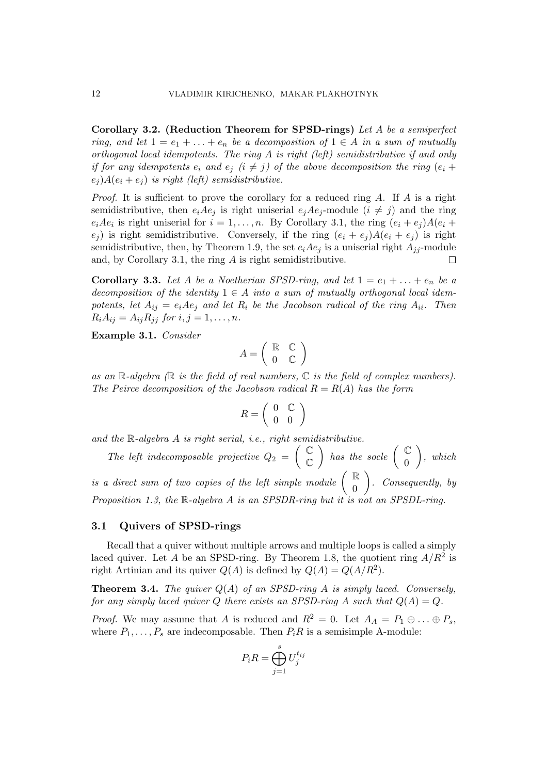Corollary 3.2. (Reduction Theorem for SPSD-rings) Let A be a semiperfect ring, and let  $1 = e_1 + \ldots + e_n$  be a decomposition of  $1 \in A$  in a sum of mutually orthogonal local idempotents. The ring A is right (left) semidistributive if and only if for any idempotents  $e_i$  and  $e_j$  ( $i \neq j$ ) of the above decomposition the ring  $(e_i +$  $e_i$ ) $A(e_i + e_j)$  is right (left) semidistributive.

*Proof.* It is sufficient to prove the corollary for a reduced ring A. If A is a right semidistributive, then  $e_iAe_j$  is right uniserial  $e_jAe_j$ -module  $(i \neq j)$  and the ring  $e_iAe_i$  is right uniserial for  $i = 1, \ldots, n$ . By Corollary 3.1, the ring  $(e_i + e_j)A(e_i + e_j)A(e_i)$  $e_i$ ) is right semidistributive. Conversely, if the ring  $(e_i + e_j)A(e_i + e_j)$  is right semidistributive, then, by Theorem 1.9, the set  $e_iAe_j$  is a uniserial right  $A_{jj}$ -module and, by Corollary 3.1, the ring A is right semidistributive.

**Corollary 3.3.** Let A be a Noetherian SPSD-ring, and let  $1 = e_1 + \ldots + e_n$  be a decomposition of the identity  $1 \in A$  into a sum of mutually orthogonal local idempotents, let  $A_{ij} = e_i A e_j$  and let  $R_i$  be the Jacobson radical of the ring  $A_{ii}$ . Then  $R_i A_{ij} = A_{ij} R_{ji}$  for  $i, j = 1, ..., n$ .

Example 3.1. Consider

$$
A = \left(\begin{array}{cc} \mathbb{R} & \mathbb{C} \\ 0 & \mathbb{C} \end{array}\right)
$$

as an  $\mathbb{R}$ -algebra  $(\mathbb{R}$  is the field of real numbers,  $\mathbb{C}$  is the field of complex numbers). The Peirce decomposition of the Jacobson radical  $R = R(A)$  has the form

$$
R = \left(\begin{array}{cc} 0 & \mathbb{C} \\ 0 & 0 \end{array}\right)
$$

and the  $\mathbb{R}\text{-}algebra A$  is right serial, i.e., right semidistributive.  $_2^{se}$ 

The left indecomposable projective  $Q_2 =$  $\mathbb{C}$  $\mathbb{C}$  $\Big\}$  has the socle  $\Big( \begin{array}{c} \mathbb{C} \ \hline \ \circ \end{array} \Big)$ 0  $\mathbf{r}$ , which is a direct sum of two copies of the left simple module  $\begin{pmatrix} \mathbb{R} \\ 0 \end{pmatrix}$  $\begin{pmatrix} 0 \\ 0 \end{pmatrix}$ . Consequently, by  $\mathbf{r}$ Proposition 1.3, the R-algebra A is an SPSDR-ring but it is not an SPSDL-ring.

#### 3.1 Quivers of SPSD-rings

Recall that a quiver without multiple arrows and multiple loops is called a simply laced quiver. Let A be an SPSD-ring. By Theorem 1.8, the quotient ring  $A/R^2$  is right Artinian and its quiver  $Q(A)$  is defined by  $Q(A) = Q(A/R^2)$ .

**Theorem 3.4.** The quiver  $Q(A)$  of an SPSD-ring A is simply laced. Conversely, for any simply laced quiver Q there exists an SPSD-ring A such that  $Q(A) = Q$ .

*Proof.* We may assume that A is reduced and  $R^2 = 0$ . Let  $A_A = P_1 \oplus \ldots \oplus P_s$ , where  $P_1, \ldots, P_s$  are indecomposable. Then  $P_iR$  is a semisimple A-module:

$$
P_i R = \bigoplus_{j=1}^s U_j^{t_{ij}}
$$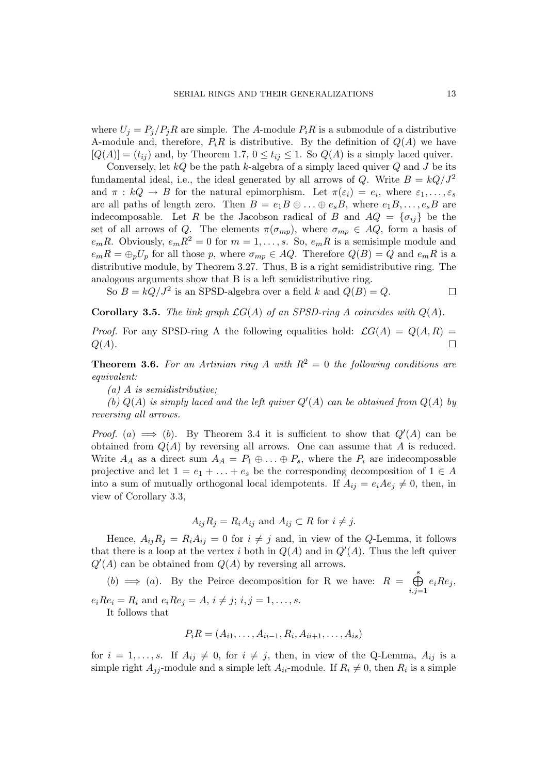where  $U_j = P_j/P_jR$  are simple. The A-module  $P_iR$  is a submodule of a distributive A-module and, therefore,  $P_iR$  is distributive. By the definition of  $Q(A)$  we have  $[Q(A)] = (t_{ij})$  and, by Theorem 1.7,  $0 \le t_{ij} \le 1$ . So  $Q(A)$  is a simply laced quiver.

Conversely, let  $kQ$  be the path k-algebra of a simply laced quiver  $Q$  and  $J$  be its fundamental ideal, i.e., the ideal generated by all arrows of Q. Write  $B = kQ/J^2$ and  $\pi : kQ \to B$  for the natural epimorphism. Let  $\pi(\varepsilon_i) = e_i$ , where  $\varepsilon_1, \ldots, \varepsilon_s$ are all paths of length zero. Then  $B = e_1B \oplus \ldots \oplus e_sB$ , where  $e_1B, \ldots, e_sB$  are indecomposable. Let R be the Jacobson radical of B and  $AQ = \{\sigma_{ij}\}\$ be the set of all arrows of Q. The elements  $\pi(\sigma_{mp})$ , where  $\sigma_{mp} \in AQ$ , form a basis of  $e_mR$ . Obviously,  $e_mR^2 = 0$  for  $m = 1, \ldots, s$ . So,  $e_mR$  is a semisimple module and  $e_mR = \bigoplus_p U_p$  for all those p, where  $\sigma_{mp} \in AQ$ . Therefore  $Q(B) = Q$  and  $e_mR$  is a distributive module, by Theorem 3.27. Thus, B is a right semidistributive ring. The analogous arguments show that B is a left semidistributive ring.

So  $B = kQ/J^2$  is an SPSD-algebra over a field k and  $Q(B) = Q$ .

 $\Box$ 

**Corollary 3.5.** The link graph  $\mathcal{L}G(A)$  of an SPSD-ring A coincides with  $Q(A)$ .

*Proof.* For any SPSD-ring A the following equalities hold:  $\mathcal{L}G(A) = Q(A, R) =$  $Q(A).$  $\Box$ 

**Theorem 3.6.** For an Artinian ring A with  $R^2 = 0$  the following conditions are equivalent:

 $(a)$  A is semidistributive;

(b)  $Q(A)$  is simply laced and the left quiver  $Q'(A)$  can be obtained from  $Q(A)$  by reversing all arrows.

*Proof.* (a)  $\implies$  (b). By Theorem 3.4 it is sufficient to show that  $Q'(A)$  can be obtained from  $Q(A)$  by reversing all arrows. One can assume that A is reduced. Write  $A_A$  as a direct sum  $A_A = P_1 \oplus \ldots \oplus P_s$ , where the  $P_i$  are indecomposable projective and let  $1 = e_1 + \ldots + e_s$  be the corresponding decomposition of  $1 \in A$ into a sum of mutually orthogonal local idempotents. If  $A_{ij} = e_i A e_j \neq 0$ , then, in view of Corollary 3.3,

$$
A_{ij}R_j = R_i A_{ij} \text{ and } A_{ij} \subset R \text{ for } i \neq j.
$$

Hence,  $A_{ij}R_j = R_iA_{ij} = 0$  for  $i \neq j$  and, in view of the Q-Lemma, it follows that there is a loop at the vertex i both in  $Q(A)$  and in  $Q'(A)$ . Thus the left quiver  $Q'(A)$  can be obtained from  $Q(A)$  by reversing all arrows.

 $(b) \implies (a)$ . By the Peirce decomposition for R we have:  $R =$  $\stackrel{s}{\curvearrowright}$  $i,j=1$  $e_iRe_j$  $e_i Re_i = R_i$  and  $e_i Re_j = A, i \neq j; i, j = 1, ..., s$ .

It follows that

$$
P_i R = (A_{i1}, \ldots, A_{ii-1}, R_i, A_{ii+1}, \ldots, A_{is})
$$

for  $i = 1, \ldots, s$ . If  $A_{ij} \neq 0$ , for  $i \neq j$ , then, in view of the Q-Lemma,  $A_{ij}$  is a simple right  $A_{jj}$ -module and a simple left  $A_{ii}$ -module. If  $R_i \neq 0$ , then  $R_i$  is a simple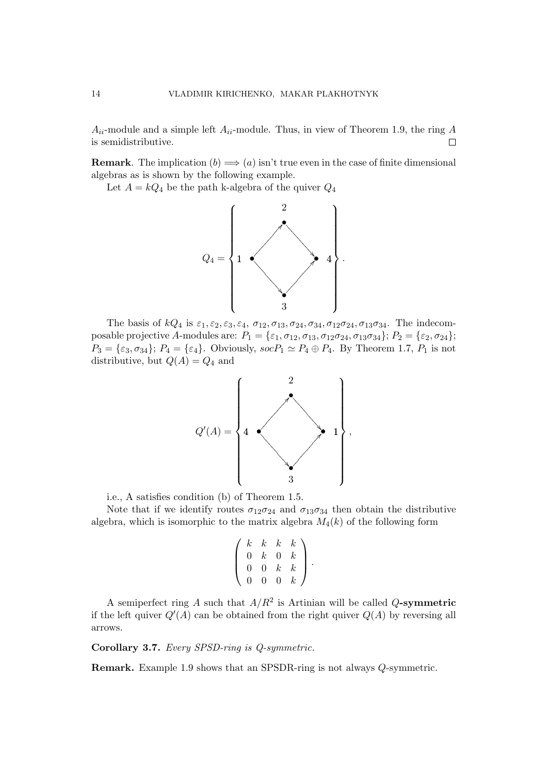$A_{ii}$ -module and a simple left  $A_{ii}$ -module. Thus, in view of Theorem 1.9, the ring A is semidistributive.  $\Box$ 

**Remark**. The implication  $(b) \implies (a)$  isn't true even in the case of finite dimensional algebras as is shown by the following example.

Let  $A = kQ_4$  be the path k-algebra of the quiver  $Q_4$ 



The basis of  $kQ_4$  is  $\varepsilon_1, \varepsilon_2, \varepsilon_3, \varepsilon_4, \sigma_{12}, \sigma_{13}, \sigma_{24}, \sigma_{34}, \sigma_{12}\sigma_{24}, \sigma_{13}\sigma_{34}$ . The indecomposable projective A-modules are:  $P_1 = {\epsilon_1, \sigma_{12}, \sigma_{13}, \sigma_{12}\sigma_{24}, \sigma_{13}\sigma_{34}}$ ;  $P_2 = {\epsilon_2, \sigma_{24}}$ ;  $P_3 = \{\varepsilon_3, \sigma_{34}\}; P_4 = \{\varepsilon_4\}.$  Obviously,  $socP_1 \simeq P_4 \oplus P_4$ . By Theorem 1.7,  $P_1$  is not distributive, but  $Q(A) = Q_4$  and



i.e., A satisfies condition (b) of Theorem 1.5.

Note that if we identify routes  $\sigma_{12}\sigma_{24}$  and  $\sigma_{13}\sigma_{34}$  then obtain the distributive algebra, which is isomorphic to the matrix algebra  $M_4(k)$  of the following form

$$
\left(\begin{array}{cccc} k & k & k & k \\ 0 & k & 0 & k \\ 0 & 0 & k & k \\ 0 & 0 & 0 & k \end{array}\right).
$$

A semiperfect ring A such that  $A/R^2$  is Artinian will be called Q-symmetric if the left quiver  $Q'(A)$  can be obtained from the right quiver  $Q(A)$  by reversing all arrows.

Corollary 3.7. Every SPSD-ring is Q-symmetric.

Remark. Example 1.9 shows that an SPSDR-ring is not always Q-symmetric.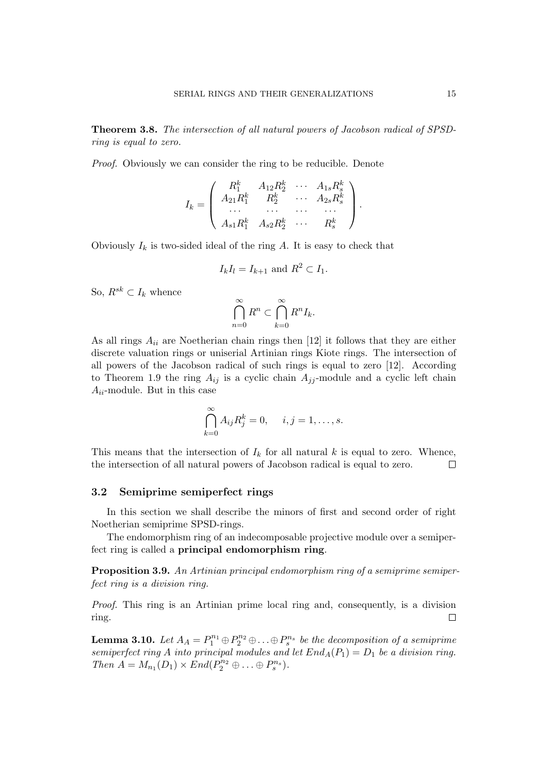Theorem 3.8. The intersection of all natural powers of Jacobson radical of SPSDring is equal to zero.

Proof. Obviously we can consider the ring to be reducible. Denote

$$
I_k=\left(\begin{array}{cccc} R_1^k & A_{12}R_2^k & \cdots & A_{1s}R_s^k \\ A_{21}R_1^k & R_2^k & \cdots & A_{2s}R_s^k \\ \cdots & \cdots & \cdots & \cdots \\ A_{s1}R_1^k & A_{s2}R_2^k & \cdots & R_s^k \end{array}\right).
$$

Obviously  $I_k$  is two-sided ideal of the ring A. It is easy to check that

$$
I_k I_l = I_{k+1} \text{ and } R^2 \subset I_1.
$$

So,  $R^{sk} \subset I_k$  whence

$$
\bigcap_{n=0}^{\infty} R^n \subset \bigcap_{k=0}^{\infty} R^n I_k.
$$

As all rings  $A_{ii}$  are Noetherian chain rings then [12] it follows that they are either discrete valuation rings or uniserial Artinian rings Kiote rings. The intersection of all powers of the Jacobson radical of such rings is equal to zero [12]. According to Theorem 1.9 the ring  $A_{ij}$  is a cyclic chain  $A_{jj}$ -module and a cyclic left chain  $A_{ii}$ -module. But in this case

$$
\bigcap_{k=0}^{\infty} A_{ij} R_j^k = 0, \quad i, j = 1, \dots, s.
$$

This means that the intersection of  $I_k$  for all natural k is equal to zero. Whence, the intersection of all natural powers of Jacobson radical is equal to zero.  $\Box$ 

#### 3.2 Semiprime semiperfect rings

In this section we shall describe the minors of first and second order of right Noetherian semiprime SPSD-rings.

The endomorphism ring of an indecomposable projective module over a semiperfect ring is called a principal endomorphism ring.

Proposition 3.9. An Artinian principal endomorphism ring of a semiprime semiperfect ring is a division ring.

Proof. This ring is an Artinian prime local ring and, consequently, is a division  $\Box$ ring.

**Lemma 3.10.** Let  $A_A = P_1^{n_1} \oplus P_2^{n_2} \oplus \ldots \oplus P_s^{n_s}$  be the decomposition of a semiprime semiperfect ring A into principal modules and let  $End_A(P_1) = D_1$  be a division ring. Then  $A = M_{n_1}(D_1) \times End(P_2^{n_2} \oplus \ldots \oplus P_s^{n_s}).$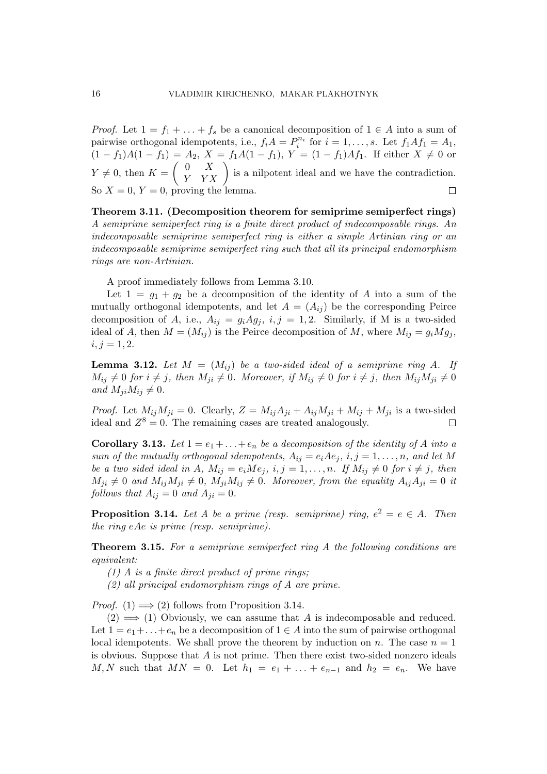*Proof.* Let  $1 = f_1 + \ldots + f_s$  be a canonical decomposition of  $1 \in A$  into a sum of pairwise orthogonal idempotents, i.e.,  $f_i A = P_i^{n_i}$  for  $i = 1, ..., s$ . Let  $f_1 A f_1 = A_1$ ,  $(1 - f_1)A(1 - f_1) = A_2, X = f_1A(1 - f_1), Y = (1 - f_1)Af_1.$  If either  $X \neq 0$  or  $\overline{a}$  $\begin{pmatrix} A_2, & X = J_1A(1 - J_1), & Y = (1 - J_1)AJ_1. & \text{If either } X \neq 0 \text{ or } Y & YX \end{pmatrix}$  is a nilpotent ideal and we have the contradiction.  $0 \quad X$  $Y \neq 0$ , then  $K =$ So  $X = 0$ ,  $Y = 0$ , proving the lemma.  $\Box$ 

Theorem 3.11. (Decomposition theorem for semiprime semiperfect rings) A semiprime semiperfect ring is a finite direct product of indecomposable rings. An indecomposable semiprime semiperfect ring is either a simple Artinian ring or an indecomposable semiprime semiperfect ring such that all its principal endomorphism rings are non-Artinian.

A proof immediately follows from Lemma 3.10.

Let  $1 = g_1 + g_2$  be a decomposition of the identity of A into a sum of the mutually orthogonal idempotents, and let  $A = (A_{ij})$  be the corresponding Peirce decomposition of A, i.e.,  $A_{ij} = g_i A g_j$ ,  $i, j = 1, 2$ . Similarly, if M is a two-sided ideal of A, then  $M = (M_{ij})$  is the Peirce decomposition of M, where  $M_{ij} = g_i M g_j$ ,  $i, j = 1, 2.$ 

**Lemma 3.12.** Let  $M = (M_{ij})$  be a two-sided ideal of a semiprime ring A. If  $M_{ij} \neq 0$  for  $i \neq j$ , then  $M_{ji} \neq 0$ . Moreover, if  $M_{ij} \neq 0$  for  $i \neq j$ , then  $M_{ij}M_{ji} \neq 0$ and  $M_{ii}M_{ij} \neq 0$ .

*Proof.* Let  $M_{ij}M_{ji} = 0$ . Clearly,  $Z = M_{ij}A_{ji} + A_{ij}M_{ji} + M_{ij} + M_{ji}$  is a two-sided ideal and  $Z^8 = 0$ . The remaining cases are treated analogously.  $\Box$ 

**Corollary 3.13.** Let  $1 = e_1 + \ldots + e_n$  be a decomposition of the identity of A into a sum of the mutually orthogonal idempotents,  $A_{ij} = e_i A e_j$ ,  $i, j = 1, ..., n$ , and let M be a two sided ideal in A,  $M_{ij} = e_i M e_j$ ,  $i, j = 1, ..., n$ . If  $M_{ij} \neq 0$  for  $i \neq j$ , then  $M_{ji} \neq 0$  and  $M_{ij}M_{ji} \neq 0$ ,  $M_{ji}M_{ij} \neq 0$ . Moreover, from the equality  $A_{ij}A_{ji} = 0$  it follows that  $A_{ij} = 0$  and  $A_{ji} = 0$ .

**Proposition 3.14.** Let A be a prime (resp. semiprime) ring,  $e^2 = e \in A$ . Then the ring eAe is prime (resp. semiprime).

Theorem 3.15. For a semiprime semiperfect ring A the following conditions are equivalent:

 $(1)$  A is a finite direct product of prime rings;

(2) all principal endomorphism rings of A are prime.

*Proof.* (1)  $\implies$  (2) follows from Proposition 3.14.

 $(2) \implies (1)$  Obviously, we can assume that A is indecomposable and reduced. Let  $1 = e_1 + \ldots + e_n$  be a decomposition of  $1 \in A$  into the sum of pairwise orthogonal local idempotents. We shall prove the theorem by induction on n. The case  $n = 1$ is obvious. Suppose that  $A$  is not prime. Then there exist two-sided nonzero ideals M, N such that  $MN = 0$ . Let  $h_1 = e_1 + ... + e_{n-1}$  and  $h_2 = e_n$ . We have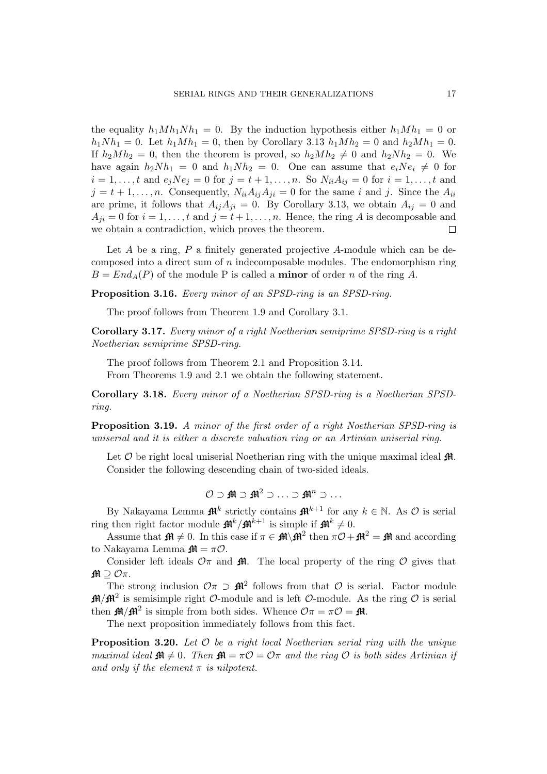the equality  $h_1Mh_1Nh_1 = 0$ . By the induction hypothesis either  $h_1Mh_1 = 0$  or  $h_1Nh_1 = 0$ . Let  $h_1Mh_1 = 0$ , then by Corollary 3.13  $h_1Mh_2 = 0$  and  $h_2Mh_1 = 0$ . If  $h_2Mh_2 = 0$ , then the theorem is proved, so  $h_2Mh_2 \neq 0$  and  $h_2Nh_2 = 0$ . We have again  $h_2Nh_1 = 0$  and  $h_1Nh_2 = 0$ . One can assume that  $e_iNe_i \neq 0$  for  $i = 1, ..., t$  and  $e_j N e_j = 0$  for  $j = t + 1, ..., n$ . So  $N_{ii} A_{ij} = 0$  for  $i = 1, ..., t$  and  $j = t + 1, \ldots, n$ . Consequently,  $N_{ii}A_{ij}A_{ji} = 0$  for the same i and j. Since the  $A_{ii}$ are prime, it follows that  $A_{ij}A_{ji} = 0$ . By Corollary 3.13, we obtain  $A_{ij} = 0$  and  $A_{ii} = 0$  for  $i = 1, \ldots, t$  and  $j = t + 1, \ldots, n$ . Hence, the ring A is decomposable and we obtain a contradiction, which proves the theorem. П

Let A be a ring, P a finitely generated projective A-module which can be decomposed into a direct sum of  $n$  indecomposable modules. The endomorphism ring  $B = End_A(P)$  of the module P is called a **minor** of order n of the ring A.

Proposition 3.16. Every minor of an SPSD-ring is an SPSD-ring.

The proof follows from Theorem 1.9 and Corollary 3.1.

Corollary 3.17. Every minor of a right Noetherian semiprime SPSD-ring is a right Noetherian semiprime SPSD-ring.

The proof follows from Theorem 2.1 and Proposition 3.14.

From Theorems 1.9 and 2.1 we obtain the following statement.

Corollary 3.18. Every minor of a Noetherian SPSD-ring is a Noetherian SPSDring.

**Proposition 3.19.** A minor of the first order of a right Noetherian SPSD-ring is uniserial and it is either a discrete valuation ring or an Artinian uniserial ring.

Let  $\mathcal O$  be right local uniserial Noetherian ring with the unique maximal ideal  $\mathfrak{M}$ . Consider the following descending chain of two-sided ideals.

$$
\mathcal{O}\supset\textbf{M}\supset\textbf{M}^2\supset\ldots\supset\textbf{M}^n\supset\ldots
$$

By Nakayama Lemma  $\mathbf{\mathcal{H}}^k$  strictly contains  $\mathbf{\mathcal{H}}^{k+1}$  for any  $k \in \mathbb{N}$ . As  $\mathcal{O}$  is serial ring then right factor module  $\mathbf{f} \mathbf{H}^k / \mathbf{f} \mathbf{H}^{k+1}$  is simple if  $\mathbf{f} \mathbf{H}^k \neq 0$ .

Assume that  $\mathbf{M} \neq 0$ . In this case if  $\pi \in \mathbf{M}\backslash \mathbf{M}^2$  then  $\pi \mathcal{O} + \mathbf{M}^2 = \mathbf{M}$  and according to Nakayama Lemma  $\mathbf{M} = \pi \mathcal{O}$ .

Consider left ideals  $\mathcal{O}\pi$  and  $\mathbf{\hat{H}}$ . The local property of the ring  $\mathcal O$  gives that  $M \supset ∅π$ .

The strong inclusion  $\mathcal{O}\pi \supset \mathbf{M}^2$  follows from that  $\mathcal O$  is serial. Factor module  $\mathbf{H}/\mathbf{H}^2$  is semisimple right O-module and is left O-module. As the ring O is serial then  $\mathbf{M}/\mathbf{M}^2$  is simple from both sides. Whence  $\mathcal{O}\pi = \pi\mathcal{O} = \mathbf{M}$ .

The next proposition immediately follows from this fact.

**Proposition 3.20.** Let  $\mathcal O$  be a right local Noetherian serial ring with the unique maximal ideal  $\mathbf{f} \mathbf{H} \neq 0$ . Then  $\mathbf{f} \mathbf{H} = \pi \mathcal{O} = \mathcal{O} \pi$  and the ring  $\mathcal{O}$  is both sides Artinian if and only if the element  $\pi$  is nilpotent.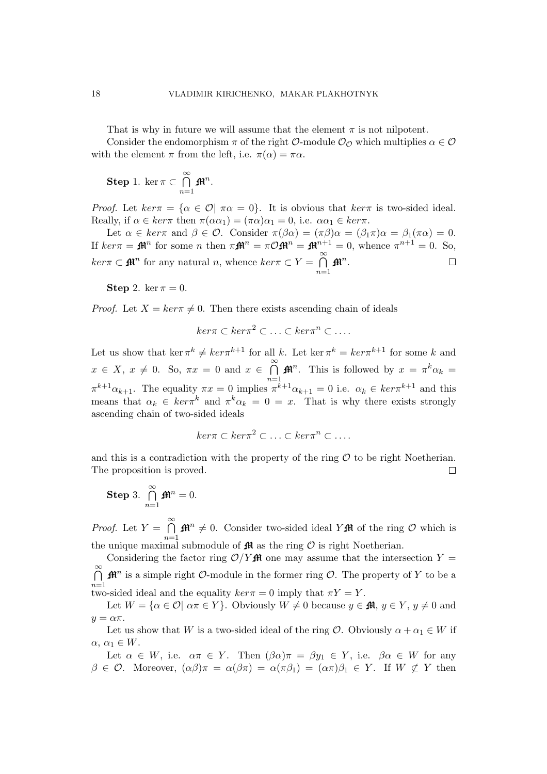That is why in future we will assume that the element  $\pi$  is not nilpotent.

Consider the endomorphism  $\pi$  of the right  $\mathcal{O}\text{-module } \mathcal{O}_{\mathcal{O}}$  which multiplies  $\alpha \in \mathcal{O}$ with the element  $\pi$  from the left, i.e.  $\pi(\alpha) = \pi \alpha$ .

Step 1. ker  $\pi \subset$  $\frac{∞}{5}$  $n=1$  $\mathbf{\mathfrak{M}}^n$  .

Proof. Let  $ker \pi = {\alpha \in \mathcal{O} \mid \pi \alpha = 0}$ . It is obvious that  $ker \pi$  is two-sided ideal. Really, if  $\alpha \in \ker \pi$  then  $\pi(\alpha \alpha_1) = (\pi \alpha) \alpha_1 = 0$ , i.e.  $\alpha \alpha_1 \in \ker \pi$ .

Let  $\alpha \in \ker \pi$  and  $\beta \in \mathcal{O}$ . Consider  $\pi(\beta \alpha) = (\pi \beta) \alpha = (\beta_1 \pi) \alpha = \beta_1(\pi \alpha) = 0$ . If  $ker \pi = \mathbf{M}^n$  for some *n* then  $\pi \mathbf{M}^n = \pi \mathcal{O} \mathbf{M}^n = \mathbf{M}^{n+1} = 0$ , whence  $\pi^{n+1} = 0$ . So,  $\frac{∞}{5}$  $ker \pi \subset \mathbf{M}^n$  for any natural n, whence  $ker \pi \subset Y =$  $\mathbf{\mathfrak{M}}^n$  .  $\Box$  $n=1$ 

Step 2. ker  $\pi = 0$ .

*Proof.* Let  $X = ker\pi \neq 0$ . Then there exists ascending chain of ideals

$$
ker \pi \subset ker \pi^2 \subset \ldots \subset ker \pi^n \subset \ldots
$$

Let us show that ker  $\pi^k \neq \ker \pi^{k+1}$  for all k. Let ker  $\pi^k = \ker \pi^{k+1}$  for some k and  $x \in X$ ,  $x \neq 0$ . So,  $\pi x = 0$  and  $x \in$  $\frac{∞}{5}$  $n=1$  $\mathbb{M}^n$ . This is followed by  $x = \pi^k \alpha_k =$  $\pi^{k+1}\alpha_{k+1}$ . The equality  $\pi x = 0$  implies  $\pi^{k+1}\alpha_{k+1} = 0$  i.e.  $\alpha_k \in \ker \pi^{k+1}$  and this means that  $\alpha_k \in \ker \pi^k$  and  $\pi^k \alpha_k = 0 = x$ . That is why there exists strongly ascending chain of two-sided ideals

$$
ker \pi \subset ker \pi^2 \subset \ldots \subset ker \pi^n \subset \ldots
$$

and this is a contradiction with the property of the ring  $\mathcal O$  to be right Noetherian. The proposition is proved.  $\Box$ 

Step 3. 
$$
\bigcap_{n=1}^{\infty} \mathbf{M}^n = 0.
$$

*Proof.* Let  $Y =$  $\frac{\infty}{\infty}$  $n=1$  $\mathbf{M}^n \neq 0$ . Consider two-sided ideal Y $\mathbf{M}$  of the ring O which is the unique maximal submodule of  $\pmb {\mathfrak M}$  as the ring  $\mathcal O$  is right Noetherian.

Considering the factor ring  $\mathcal{O}/Y$  M one may assume that the intersection  $Y =$  $\frac{\infty}{\infty}$  $n=1$  $\mathbb{H}^n$  is a simple right  $\mathcal{O}\text{-module}$  in the former ring  $\mathcal{O}$ . The property of Y to be a two-sided ideal and the equality  $ker \pi = 0$  imply that  $\pi Y = Y$ .

Let  $W = \{ \alpha \in \mathcal{O} \mid \alpha \pi \in Y \}$ . Obviously  $W \neq 0$  because  $y \in \mathbb{R}$ ,  $y \in Y$ ,  $y \neq 0$  and  $y = \alpha \pi$ .

Let us show that W is a two-sided ideal of the ring  $\mathcal{O}$ . Obviously  $\alpha + \alpha_1 \in W$  if  $\alpha, \alpha_1 \in W$ .

Let  $\alpha \in W$ , i.e.  $\alpha \pi \in Y$ . Then  $(\beta \alpha) \pi = \beta y_1 \in Y$ , i.e.  $\beta \alpha \in W$  for any  $\beta \in \mathcal{O}$ . Moreover,  $(\alpha \beta) \pi = \alpha(\beta \pi) = \alpha(\pi \beta_1) = (\alpha \pi) \beta_1 \in Y$ . If  $W \not\subset Y$  then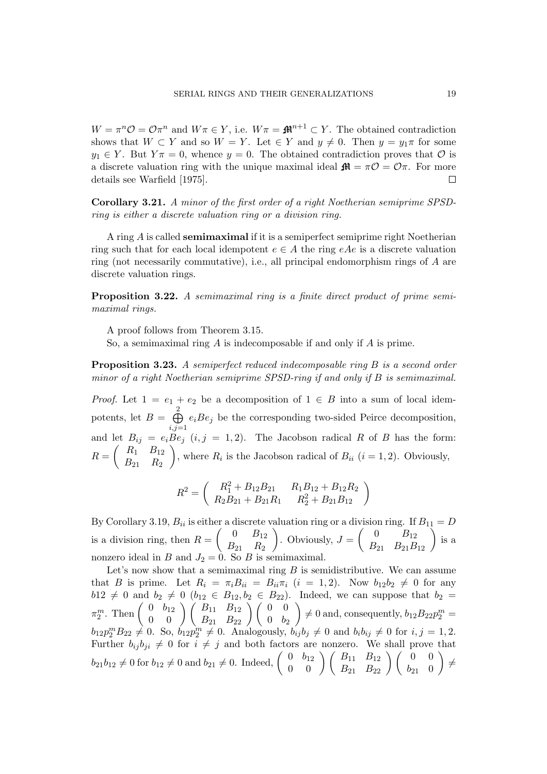$W = \pi^n \mathcal{O} = \mathcal{O} \pi^n$  and  $W \pi \in Y$ , i.e.  $W \pi = \mathbf{M}^{n+1} \subset Y$ . The obtained contradiction shows that  $W \subset Y$  and so  $W = Y$ . Let  $\in Y$  and  $y \neq 0$ . Then  $y = y_1 \pi$  for some  $y_1 \in Y$ . But  $Y\pi = 0$ , whence  $y = 0$ . The obtained contradiction proves that  $\mathcal O$  is a discrete valuation ring with the unique maximal ideal  $\mathbf{f} \mathbf{A} = \pi \mathcal{O} = \mathcal{O} \pi$ . For more details see Warfield [1975].  $\Box$ 

Corollary 3.21. A minor of the first order of a right Noetherian semiprime SPSDring is either a discrete valuation ring or a division ring.

A ring A is called semimaximal if it is a semiperfect semiprime right Noetherian ring such that for each local idempotent  $e \in A$  the ring  $eAe$  is a discrete valuation ring (not necessarily commutative), i.e., all principal endomorphism rings of A are discrete valuation rings.

Proposition 3.22. A semimaximal ring is a finite direct product of prime semimaximal rings.

A proof follows from Theorem 3.15.

So, a semimaximal ring A is indecomposable if and only if A is prime.

**Proposition 3.23.** A semiperfect reduced indecomposable ring B is a second order minor of a right Noetherian semiprime SPSD-ring if and only if B is semimaximal.

*Proof.* Let  $1 = e_1 + e_2$  be a decomposition of  $1 \in B$  into a sum of local idempotents, let  $B =$  $\lambda$  $i,j=1$  $e_iBe_j$  be the corresponding two-sided Peirce decomposition, and let  $B_{ij} = e_i B e_j$   $(i, j = 1, 2)$ . The Jacobson radical R of B has the form:  $R =$ µe  $R_1$   $B_{12}$  $B_{21}$   $R_2$  $\frac{D}{\sqrt{2}}$ , where  $R_i$  is the Jacobson radical of  $B_{ii}$   $(i = 1, 2)$ . Obviously,

$$
R^{2} = \begin{pmatrix} R_{1}^{2} + B_{12}B_{21} & R_{1}B_{12} + B_{12}R_{2} \ R_{2}B_{21} + B_{21}R_{1} & R_{2}^{2} + B_{21}B_{12} \end{pmatrix}
$$

By Corollary 3.19,  $B_{ii}$  is either a discrete valuation ring or a division ring. If  $B_{11} = D$ is a division ring, then  $R =$ µ  $0 \t B_{12}$  $B_{21}$   $R_2$ aı<br>` . Obviously,  $J =$ µ 0  $B_{12}$  $\begin{pmatrix} 0 & B_{12} \ 0 & B_{21} \ B_{21} & B_{21}B_{12} \end{pmatrix}$  is a nonzero ideal in B and  $J_2 = 0$ . So B is semimaximal.

Let's now show that a semimaximal ring  $B$  is semidistributive. We can assume that B is prime. Let  $R_i = \pi_i B_{ii} = B_{ii} \pi_i$   $(i = 1, 2)$ . Now  $b_{12}b_2 \neq 0$  for any  $b12 \neq 0$  and  $b_2 \neq 0$   $(b_{12} \in B_{12}, b_2 \in B_{22})$ . Indeed, we can suppose that  $b_2 =$  $m_1 z \neq 0$  and  $v_2 \neq$ <br>  $\pi_2^m$ . Then  $\begin{pmatrix} 0 & b_{12} \\ 0 & 0 \end{pmatrix}$  $\begin{pmatrix} 0 & b_1 & c_2 \ b_1 & b_2 & c_3 \end{pmatrix}$   $\begin{pmatrix} B_{11} & B_{12} \ B_{21} & B_{22} \end{pmatrix}$   $\begin{pmatrix} 0 & 0 \ 0 & b_2 \end{pmatrix} \neq 0$  and, consequently,  $b_{12}B_{22}p_2^m =$  $b_{12}p_2^mB_{22}\neq 0$ . So,  $b_{12}p_2^m\neq 0$ . Analogously,  $b_{ij}b_j\neq 0$  and  $b_ib_{ij}\neq 0$  for  $i, j = 1, 2$ . Further  $b_{ij}b_{ji} \neq 0$  for  $i \neq j$  and both factors are nonzero. We shall prove that Further  $b_{ij}b_{ji} \neq 0$  for  $i \neq j$  and both factors are<br>  $b_{21}b_{12} \neq 0$  for  $b_{12} \neq 0$  and  $b_{21} \neq 0$ . Indeed,  $\begin{pmatrix} 0 & b_{12} \\ 0 & 0 \end{pmatrix}$ or  $b_{12}$   $\binom{B_{11}}{B_{21}}$   $\binom{B_{12}}{B_{22}}$   $\binom{0}{b_{21}}$   $\neq$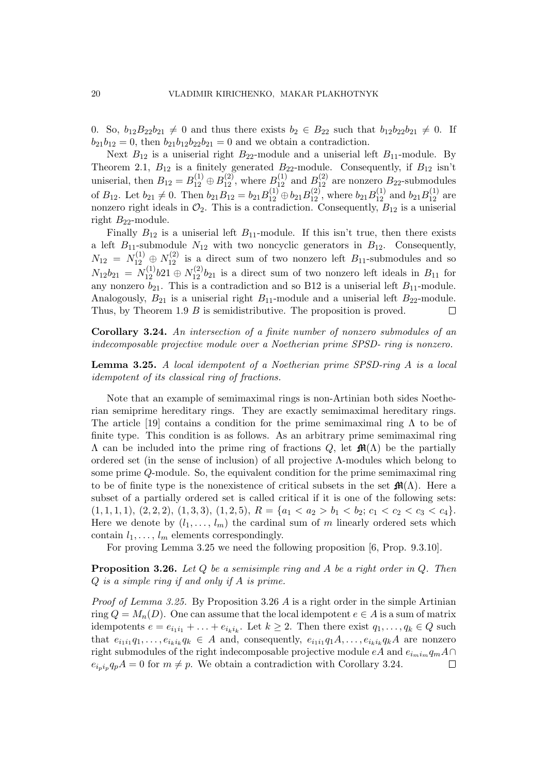0. So,  $b_{12}B_{22}b_{21} \neq 0$  and thus there exists  $b_2 \in B_{22}$  such that  $b_{12}b_{22}b_{21} \neq 0$ . If  $b_{21}b_{12} = 0$ , then  $b_{21}b_{12}b_{22}b_{21} = 0$  and we obtain a contradiction.

Next  $B_{12}$  is a uniserial right  $B_{22}$ -module and a uniserial left  $B_{11}$ -module. By Theorem 2.1,  $B_{12}$  is a finitely generated  $B_{22}$ -module. Consequently, if  $B_{12}$  isn't uniserial, then  $B_{12} = B_{12}^{(1)} \oplus B_{12}^{(2)}$ , where  $B_{12}^{(1)}$  and  $B_{12}^{(2)}$  are nonzero  $B_{22}$ -submodules of  $B_{12}$ . Let  $b_{21} \neq 0$ . Then  $b_{21}B_{12} = b_{21}B_{12}^{(1)} \oplus b_{21}B_{12}^{(2)}$ , where  $b_{21}B_{12}^{(1)}$  and  $b_{21}B_{12}^{(1)}$  are nonzero right ideals in  $\mathcal{O}_2$ . This is a contradiction. Consequently,  $B_{12}$  is a uniserial right  $B_{22}$ -module.

Finally  $B_{12}$  is a uniserial left  $B_{11}$ -module. If this isn't true, then there exists a left  $B_{11}$ -submodule  $N_{12}$  with two noncyclic generators in  $B_{12}$ . Consequently,  $N_{12} = N_{12}^{(1)} \oplus N_{12}^{(2)}$  is a direct sum of two nonzero left  $B_{11}$ -submodules and so  $N_{12}b_{21} = N_{12}^{(1)}b_{21} \oplus N_{12}^{(2)}b_{21}$  is a direct sum of two nonzero left ideals in  $B_{11}$  for any nonzero  $b_{21}$ . This is a contradiction and so B12 is a uniserial left  $B_{11}$ -module. Analogously,  $B_{21}$  is a uniserial right  $B_{11}$ -module and a uniserial left  $B_{22}$ -module. Thus, by Theorem 1.9 B is semidistributive. The proposition is proved.  $\Box$ 

Corollary 3.24. An intersection of a finite number of nonzero submodules of an indecomposable projective module over a Noetherian prime SPSD- ring is nonzero.

Lemma 3.25. A local idempotent of a Noetherian prime SPSD-ring A is a local idempotent of its classical ring of fractions.

Note that an example of semimaximal rings is non-Artinian both sides Noetherian semiprime hereditary rings. They are exactly semimaximal hereditary rings. The article [19] contains a condition for the prime semimaximal ring  $\Lambda$  to be of finite type. This condition is as follows. As an arbitrary prime semimaximal ring  $\Lambda$  can be included into the prime ring of fractions Q, let  $\mathbf{M}(\Lambda)$  be the partially ordered set (in the sense of inclusion) of all projective  $\Lambda$ -modules which belong to some prime Q-module. So, the equivalent condition for the prime semimaximal ring to be of finite type is the nonexistence of critical subsets in the set  $\mathbf{f}(\Lambda)$ . Here a subset of a partially ordered set is called critical if it is one of the following sets:  $(1, 1, 1, 1), (2, 2, 2), (1, 3, 3), (1, 2, 5), R = \{a_1 < a_2 > b_1 < b_2; c_1 < c_2 < c_3 < c_4\}.$ Here we denote by  $(l_1, \ldots, l_m)$  the cardinal sum of m linearly ordered sets which contain  $l_1, \ldots, l_m$  elements correspondingly.

For proving Lemma 3.25 we need the following proposition [6, Prop. 9.3.10].

**Proposition 3.26.** Let  $Q$  be a semisimple ring and  $A$  be a right order in  $Q$ . Then Q is a simple ring if and only if A is prime.

Proof of Lemma 3.25. By Proposition 3.26 A is a right order in the simple Artinian ring  $Q = M_n(D)$ . One can assume that the local idempotent  $e \in A$  is a sum of matrix idempotents  $e = e_{i_1 i_1} + \ldots + e_{i_k i_k}$ . Let  $k \geq 2$ . Then there exist  $q_1, \ldots, q_k \in Q$  such that  $e_{i_1i_1}q_1,\ldots,e_{i_ki_k}q_k \in A$  and, consequently,  $e_{i_1i_1}q_1A,\ldots,e_{i_ki_k}q_kA$  are nonzero right submodules of the right indecomposable projective module  $eA$  and  $e_{i_m i_m} q_m A \cap$  $e_{i_p i_p} q_p A = 0$  for  $m \neq p$ . We obtain a contradiction with Corollary 3.24.  $\Box$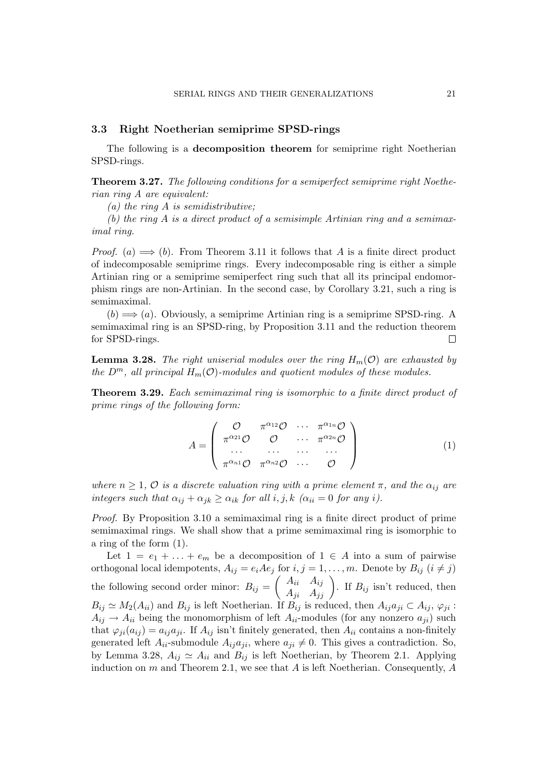# 3.3 Right Noetherian semiprime SPSD-rings

The following is a decomposition theorem for semiprime right Noetherian SPSD-rings.

Theorem 3.27. The following conditions for a semiperfect semiprime right Noetherian ring A are equivalent:

(a) the ring  $A$  is semidistributive;

(b) the ring A is a direct product of a semisimple Artinian ring and a semimaximal ring.

*Proof.* (a)  $\implies$  (b). From Theorem 3.11 it follows that A is a finite direct product of indecomposable semiprime rings. Every indecomposable ring is either a simple Artinian ring or a semiprime semiperfect ring such that all its principal endomorphism rings are non-Artinian. In the second case, by Corollary 3.21, such a ring is semimaximal.

 $(b) \Longrightarrow (a)$ . Obviously, a semiprime Artinian ring is a semiprime SPSD-ring. A semimaximal ring is an SPSD-ring, by Proposition 3.11 and the reduction theorem for SPSD-rings.  $\Box$ 

**Lemma 3.28.** The right uniserial modules over the ring  $H_m(\mathcal{O})$  are exhausted by the  $D^m$ , all principal  $H_m(\mathcal{O})$ -modules and quotient modules of these modules.

Theorem 3.29. Each semimaximal ring is isomorphic to a finite direct product of prime rings of the following form:

$$
A = \begin{pmatrix} \mathcal{O} & \pi^{\alpha_{12}}\mathcal{O} & \cdots & \pi^{\alpha_{1n}}\mathcal{O} \\ \pi^{\alpha_{21}}\mathcal{O} & \mathcal{O} & \cdots & \pi^{\alpha_{2n}}\mathcal{O} \\ \cdots & \cdots & \cdots & \cdots \\ \pi^{\alpha_{n1}}\mathcal{O} & \pi^{\alpha_{n2}}\mathcal{O} & \cdots & \mathcal{O} \end{pmatrix}
$$
(1)

where  $n \geq 1$ ,  $\mathcal O$  is a discrete valuation ring with a prime element  $\pi$ , and the  $\alpha_{ij}$  are integers such that  $\alpha_{ij} + \alpha_{jk} \geq \alpha_{ik}$  for all i, j, k  $(\alpha_{ii} = 0$  for any i).

Proof. By Proposition 3.10 a semimaximal ring is a finite direct product of prime semimaximal rings. We shall show that a prime semimaximal ring is isomorphic to a ring of the form (1).

Let  $1 = e_1 + \ldots + e_m$  be a decomposition of  $1 \in A$  into a sum of pairwise orthogonal local idempotents,  $A_{ij} = e_i A e_j$  for  $i, j = 1, ..., m$ . Denote by  $B_{ij}$   $(i \neq j)$ the following second order minor:  $B_{ij} =$  $\frac{1}{2}$  $A_{ii}$   $A_{ij}$  $A_{ij}$   $A_{ij}$   $A_{jj}$   $A_{jj}$   $A_{jj}$   $A_{jj}$   $A_{jj}$   $A_{jj}$   $A_{jj}$   $A_{jj}$   $A_{jj}$   $A_{jj}$   $A_{jj}$   $A_{jj}$   $A_{jj}$   $A_{jj}$   $A_{jj}$   $A_{jj}$   $A_{jj}$   $A_{jj}$   $A_{jj}$   $A_{jj}$   $A_{jj}$   $A_{jj}$   $A_{jj}$   $A_{jj}$   $A_{jj}$   $A_{jj}$   $A_{jj}$   $A_{jj}$   $A_{jj}$   $A_{jj$  $B_{ij} \simeq M_2(A_{ii})$  and  $B_{ij}$  is left Noetherian. If  $B_{ij}$  is reduced, then  $A_{ij}a_{ji} \subset A_{ij}$ ,  $\varphi_{ji}$ :  $A_{ij} \rightarrow A_{ii}$  being the monomorphism of left  $A_{ii}$ -modules (for any nonzero  $a_{ii}$ ) such that  $\varphi_{ii}(a_{ij}) = a_{ij}a_{ji}$ . If  $A_{ij}$  isn't finitely generated, then  $A_{ii}$  contains a non-finitely generated left  $A_{ii}$ -submodule  $A_{ij}a_{ji}$ , where  $a_{ji} \neq 0$ . This gives a contradiction. So, by Lemma 3.28,  $A_{ij} \simeq A_{ii}$  and  $B_{ij}$  is left Noetherian, by Theorem 2.1. Applying induction on  $m$  and Theorem 2.1, we see that  $A$  is left Noetherian. Consequently,  $A$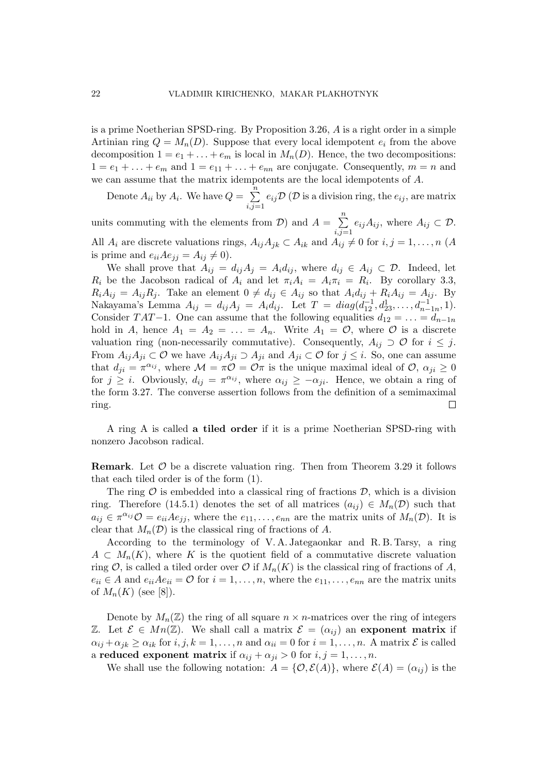is a prime Noetherian SPSD-ring. By Proposition 3.26, A is a right order in a simple Artinian ring  $Q = M_n(D)$ . Suppose that every local idempotent  $e_i$  from the above decomposition  $1 = e_1 + \ldots + e_m$  is local in  $M_n(D)$ . Hence, the two decompositions:  $1 = e_1 + \ldots + e_m$  and  $1 = e_{11} + \ldots + e_{nn}$  are conjugate. Consequently,  $m = n$  and we can assume that the matrix idempotents are the local idempotents of A.

Denote  $A_{ii}$  by  $A_i$ . We have  $Q =$  $\frac{n}{2}$  $i,j=1$  $e_{ij}\mathcal{D}(\mathcal{D} \text{ is a division ring, the } e_{ij}, \text{ are matrix})$  $\frac{n}{2}$ 

units commuting with the elements from  $\mathcal{D}$ ) and  $A =$  $i,j=1$  $e_{ij}A_{ij}$ , where  $A_{ij}\subset \mathcal{D}$ . All  $A_i$  are discrete valuations rings,  $A_{ij}A_{jk} \subset A_{ik}$  and  $A_{ij} \neq 0$  for  $i, j = 1, ..., n$  (A is prime and  $e_{ii}Ae_{jj} = A_{ij} \neq 0$ .

We shall prove that  $A_{ij} = d_{ij}A_j = A_id_{ij}$ , where  $d_{ij} \in A_{ij} \subset \mathcal{D}$ . Indeed, let  $R_i$  be the Jacobson radical of  $A_i$  and let  $\pi_i A_i = A_i \pi_i = R_i$ . By corollary 3.3,  $R_iA_{ij} = A_{ij}R_j$ . Take an element  $0 \neq d_{ij} \in A_{ij}$  so that  $A_id_{ij} + R_iA_{ij} = A_{ij}$ . By Nakayama's Lemma  $A_{ij} = d_{ij} A_j = A_i \dot{d}_{ij}$ . Let  $T = diag(\dot{d}_{12}^{-1}, d_{23}^1, \ldots, d_{n-1n}^{-1}, 1)$ . Consider TAT-1. One can assume that the following equalities  $d_{12} = \ldots = d_{n-1n}$ hold in A, hence  $A_1 = A_2 = \ldots = A_n$ . Write  $A_1 = \mathcal{O}$ , where  $\mathcal O$  is a discrete valuation ring (non-necessarily commutative). Consequently,  $A_{ij} \supset \mathcal{O}$  for  $i \leq j$ . From  $A_{ij}A_{ji}\subset \mathcal{O}$  we have  $A_{ij}A_{ji}\supset A_{ji}$  and  $A_{ji}\subset \mathcal{O}$  for  $j\leq i$ . So, one can assume that  $d_{ji} = \pi^{\alpha_{ij}}$ , where  $\mathcal{M} = \pi \mathcal{O} = \mathcal{O}\pi$  is the unique maximal ideal of  $\mathcal{O}, \alpha_{ji} \geq 0$ for  $j \geq i$ . Obviously,  $d_{ij} = \pi^{\alpha_{ij}}$ , where  $\alpha_{ij} \geq -\alpha_{ji}$ . Hence, we obtain a ring of the form 3.27. The converse assertion follows from the definition of a semimaximal ring.  $\Box$ 

A ring A is called a tiled order if it is a prime Noetherian SPSD-ring with nonzero Jacobson radical.

**Remark.** Let  $\mathcal{O}$  be a discrete valuation ring. Then from Theorem 3.29 it follows that each tiled order is of the form (1).

The ring  $\mathcal O$  is embedded into a classical ring of fractions  $\mathcal D$ , which is a division ring. Therefore (14.5.1) denotes the set of all matrices  $(a_{ij}) \in M_n(\mathcal{D})$  such that  $a_{ij} \in \pi^{\alpha_{ij}} \mathcal{O} = e_{ii} A e_{jj}$ , where the  $e_{11}, \ldots, e_{nn}$  are the matrix units of  $M_n(\mathcal{D})$ . It is clear that  $M_n(\mathcal{D})$  is the classical ring of fractions of A.

According to the terminology of V. A. Jategaonkar and R. B. Tarsy, a ring  $A \subset M_n(K)$ , where K is the quotient field of a commutative discrete valuation ring  $\mathcal{O}$ , is called a tiled order over  $\mathcal{O}$  if  $M_n(K)$  is the classical ring of fractions of A,  $e_{ii} \in A$  and  $e_{ii}Ae_{ii} = \mathcal{O}$  for  $i = 1, \ldots, n$ , where the  $e_{11}, \ldots, e_{nn}$  are the matrix units of  $M_n(K)$  (see [8]).

Denote by  $M_n(\mathbb{Z})$  the ring of all square  $n \times n$ -matrices over the ring of integers Z. Let  $\mathcal{E} \in Mn(\mathbb{Z})$ . We shall call a matrix  $\mathcal{E} = (\alpha_{ij})$  an exponent matrix if  $\alpha_{ij} + \alpha_{jk} \ge \alpha_{ik}$  for  $i, j, k = 1, \ldots, n$  and  $\alpha_{ii} = 0$  for  $i = 1, \ldots, n$ . A matrix  $\mathcal E$  is called a reduced exponent matrix if  $\alpha_{ij} + \alpha_{ji} > 0$  for  $i, j = 1, \ldots, n$ .

We shall use the following notation:  $A = \{O, \mathcal{E}(A)\}\text{, where } \mathcal{E}(A) = (\alpha_{ij})$  is the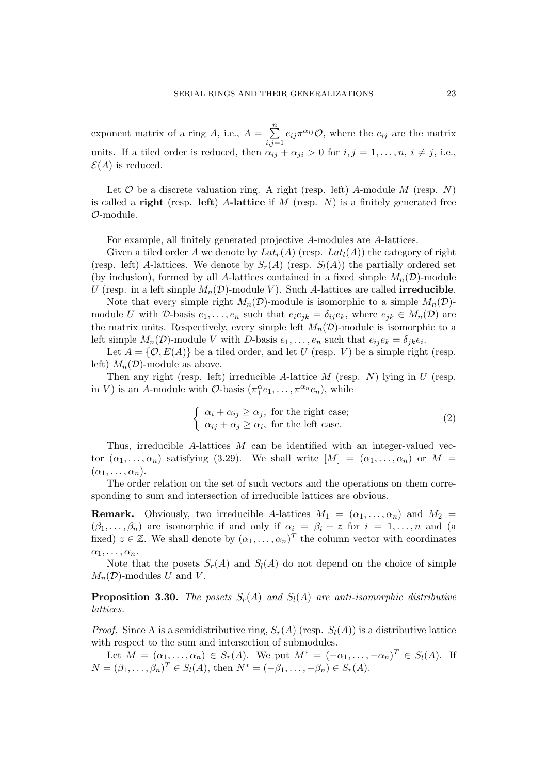exponent matrix of a ring  $A$ , i.e.,  $A =$  $\frac{n}{2}$  $i,j=1$  $e_{ij}\pi^{\alpha_{ij}}\mathcal{O},$  where the  $e_{ij}$  are the matrix units. If a tiled order is reduced, then  $\alpha_{ij} + \alpha_{ji} > 0$  for  $i, j = 1, ..., n, i \neq j$ , i.e.,  $\mathcal{E}(A)$  is reduced.

Let  $\mathcal O$  be a discrete valuation ring. A right (resp. left) A-module M (resp. N) is called a right (resp. left) A-lattice if  $M$  (resp.  $N$ ) is a finitely generated free O-module.

For example, all finitely generated projective A-modules are A-lattices.

Given a tiled order A we denote by  $Lat_r(A)$  (resp.  $Lat_l(A)$ ) the category of right (resp. left) A-lattices. We denote by  $S_r(A)$  (resp.  $S_l(A)$ ) the partially ordered set (by inclusion), formed by all A-lattices contained in a fixed simple  $M_n(\mathcal{D})$ -module U (resp. in a left simple  $M_n(\mathcal{D})$ -module V). Such A-lattices are called **irreducible**.

Note that every simple right  $M_n(\mathcal{D})$ -module is isomorphic to a simple  $M_n(\mathcal{D})$ module U with D-basis  $e_1, \ldots, e_n$  such that  $e_i e_{jk} = \delta_{ij} e_k$ , where  $e_{jk} \in M_n(\mathcal{D})$  are the matrix units. Respectively, every simple left  $M_n(\mathcal{D})$ -module is isomorphic to a left simple  $M_n(\mathcal{D})$ -module V with D-basis  $e_1, \ldots, e_n$  such that  $e_{ij}e_k = \delta_{jk}e_i$ .

Let  $A = \{O, E(A)\}\$ be a tiled order, and let U (resp. V) be a simple right (resp. left)  $M_n(\mathcal{D})$ -module as above.

Then any right (resp. left) irreducible A-lattice  $M$  (resp.  $N$ ) lying in  $U$  (resp. in V) is an A-module with O-basis  $(\pi_1^{\alpha}e_1, \ldots, \pi^{\alpha_n}e_n)$ , while

$$
\begin{cases} \alpha_i + \alpha_{ij} \ge \alpha_j, \text{ for the right case;} \\ \alpha_{ij} + \alpha_j \ge \alpha_i, \text{ for the left case.} \end{cases}
$$
 (2)

Thus, irreducible A-lattices  $M$  can be identified with an integer-valued vector  $(\alpha_1, \ldots, \alpha_n)$  satisfying (3.29). We shall write  $|M| = (\alpha_1, \ldots, \alpha_n)$  or  $M =$  $(\alpha_1, \ldots, \alpha_n).$ 

The order relation on the set of such vectors and the operations on them corresponding to sum and intersection of irreducible lattices are obvious.

**Remark.** Obviously, two irreducible A-lattices  $M_1 = (\alpha_1, \ldots, \alpha_n)$  and  $M_2 =$  $(\beta_1, \ldots, \beta_n)$  are isomorphic if and only if  $\alpha_i = \beta_i + z$  for  $i = 1, \ldots, n$  and (a fixed)  $z \in \mathbb{Z}$ . We shall denote by  $(\alpha_1, \ldots, \alpha_n)^T$  the column vector with coordinates  $\alpha_1, \ldots, \alpha_n$ .

Note that the posets  $S_r(A)$  and  $S_l(A)$  do not depend on the choice of simple  $M_n(\mathcal{D})$ -modules U and V.

**Proposition 3.30.** The posets  $S_r(A)$  and  $S_l(A)$  are anti-isomorphic distributive lattices.

*Proof.* Since A is a semidistributive ring,  $S_r(A)$  (resp.  $S_l(A)$ ) is a distributive lattice with respect to the sum and intersection of submodules.

Let  $M = (\alpha_1, \ldots, \alpha_n) \in S_r(A)$ . We put  $M^* = (-\alpha_1, \ldots, -\alpha_n)^T \in S_l(A)$ . If  $N = (\beta_1, ..., \beta_n)^T \in S_l(A)$ , then  $N^* = (-\beta_1, ..., -\beta_n) \in S_r(A)$ .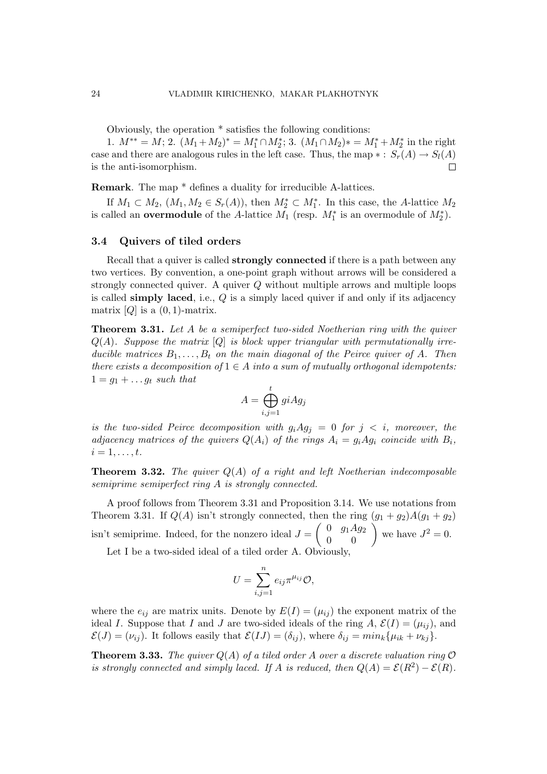Obviously, the operation \* satisfies the following conditions:

1.  $M^{**} = M$ ; 2.  $(M_1 + M_2)^* = M_1^* \cap M_2^*$ ; 3.  $(M_1 \cap M_2)^* = M_1^* + M_2^*$  in the right case and there are analogous rules in the left case. Thus, the map  $\ast : S_r(A) \to S_l(A)$ is the anti-isomorphism.  $\Box$ 

Remark. The map \* defines a duality for irreducible A-lattices.

If  $M_1 \subset M_2$ ,  $(M_1, M_2 \in S_r(A))$ , then  $M_2^* \subset M_1^*$ . In this case, the A-lattice  $M_2$ is called an **overmodule** of the A-lattice  $M_1$  (resp.  $M_1^*$  is an overmodule of  $M_2^*$ ).

# 3.4 Quivers of tiled orders

Recall that a quiver is called **strongly connected** if there is a path between any two vertices. By convention, a one-point graph without arrows will be considered a strongly connected quiver. A quiver Q without multiple arrows and multiple loops is called simply laced, i.e.,  $Q$  is a simply laced quiver if and only if its adjacency matrix  $[Q]$  is a  $(0, 1)$ -matrix.

Theorem 3.31. Let A be a semiperfect two-sided Noetherian ring with the quiver  $Q(A)$ . Suppose the matrix  $[Q]$  is block upper triangular with permutationally irreducible matrices  $B_1, \ldots, B_t$  on the main diagonal of the Peirce quiver of A. Then there exists a decomposition of  $1 \in A$  into a sum of mutually orthogonal idempotents:  $1 = g_1 + \ldots g_t$  such that

$$
A = \bigoplus_{i,j=1}^t giAg_j
$$

is the two-sided Peirce decomposition with  $g_iAg_j = 0$  for  $j < i$ , moreover, the adjacency matrices of the quivers  $Q(A_i)$  of the rings  $A_i = g_i A g_i$  coincide with  $B_i$ ,  $i=1,\ldots,t$ .

**Theorem 3.32.** The quiver  $Q(A)$  of a right and left Noetherian indecomposable semiprime semiperfect ring A is strongly connected.

A proof follows from Theorem 3.31 and Proposition 3.14. We use notations from Theorem 3.31. If  $Q(A)$  isn't strongly connected, then the ring  $(g_1 + g_2)A(g_1 + g_2)$ isn't semiprime. Indeed, for the nonzero ideal  $J = \begin{pmatrix} 0 & g_1Ag_2 \\ 0 & 0 \end{pmatrix}$  $\begin{pmatrix} 0 & g_1 A g_2 \ 0 & 0 \end{pmatrix}$  we have  $J^2 = 0$ .

Let I be a two-sided ideal of a tiled order A. Obviously,

$$
U = \sum_{i,j=1}^{n} e_{ij} \pi^{\mu_{ij}} \mathcal{O},
$$

where the  $e_{ij}$  are matrix units. Denote by  $E(I) = (\mu_{ij})$  the exponent matrix of the ideal I. Suppose that I and J are two-sided ideals of the ring A,  $\mathcal{E}(I) = (\mu_{ij})$ , and  $\mathcal{E}(J) = (\nu_{ij})$ . It follows easily that  $\mathcal{E}(IJ) = (\delta_{ij})$ , where  $\delta_{ij} = min_k {\mu_{ik} + \nu_{kj}}$ .

**Theorem 3.33.** The quiver  $Q(A)$  of a tiled order A over a discrete valuation ring  $O$ is strongly connected and simply laced. If A is reduced, then  $Q(A) = \mathcal{E}(R^2) - \mathcal{E}(R)$ .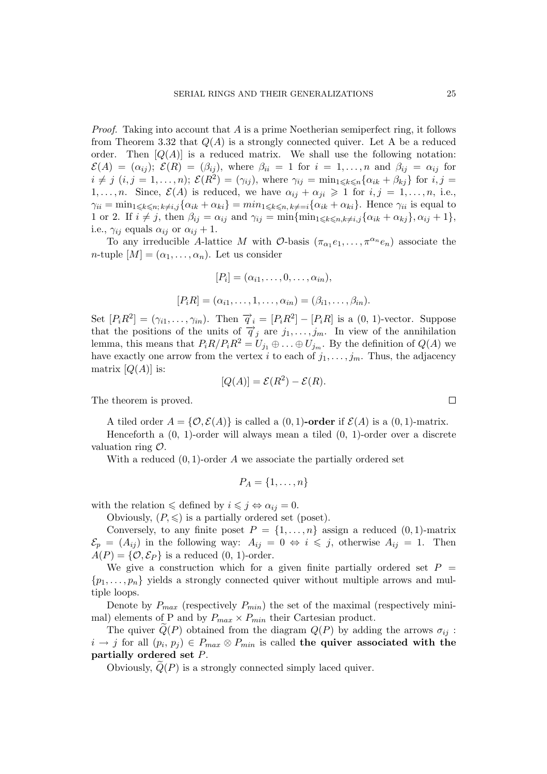*Proof.* Taking into account that  $\tilde{A}$  is a prime Noetherian semiperfect ring, it follows from Theorem 3.32 that  $Q(A)$  is a strongly connected quiver. Let A be a reduced order. Then  $[Q(A)]$  is a reduced matrix. We shall use the following notation:  $\mathcal{E}(A) = (\alpha_{ij}); \ \mathcal{E}(R) = (\beta_{ij}), \text{ where } \beta_{ii} = 1 \text{ for } i = 1, \ldots, n \text{ and } \beta_{ij} = \alpha_{ij} \text{ for }$  $i \neq j$   $(i, j = 1, \ldots, n);$   $\mathcal{E}(R^2) = (\gamma_{ij})$ , where  $\gamma_{ij} = \min_{1 \leq k \leq n} {\{\alpha_{ik} + \beta_{kj}\}}$  for  $i, j =$ 1,..., *n*. Since,  $\mathcal{E}(A)$  is reduced, we have  $\alpha_{ij} + \alpha_{ji} \geq 1$  for  $i, j = 1, \ldots, n$ , i.e.,  $\gamma_{ii} = \min_{1 \leq k \leq n; k \neq i,j} {\alpha_{ik} + \alpha_{ki}} = \min_{1 \leq k \leq n, k \neq i} {\alpha_{ik} + \alpha_{ki}}$ . Hence  $\gamma_{ii}$  is equal to 1 or 2. If  $i \neq j$ , then  $\beta_{ij} = \alpha_{ij}$  and  $\gamma_{ij} = \min{\{\min_{1 \leq k \leq n, k \neq i,j} {\{\alpha_{ik} + \alpha_{kj}\}}\}, \alpha_{ij} + 1\}},$ i.e.,  $\gamma_{ij}$  equals  $\alpha_{ij}$  or  $\alpha_{ij} + 1$ .

To any irreducible A-lattice M with  $\mathcal{O}$ -basis  $(\pi_{\alpha_1}e_1,\ldots,\pi^{\alpha_n}e_n)$  associate the *n*-tuple  $[M] = (\alpha_1, \ldots, \alpha_n)$ . Let us consider

$$
[P_i] = (\alpha_{i1}, \dots, 0, \dots, \alpha_{in}),
$$
  

$$
[P_i R] = (\alpha_{i1}, \dots, 1, \dots, \alpha_{in}) = (\beta_{i1}, \dots, \beta_{in}).
$$

Set  $[P_iR^2] = (\gamma_{i1}, \ldots, \gamma_{in})$ . Then  $\vec{q}_i = [P_iR^2] - [P_iR]$  is a  $(0, 1)$ -vector. Suppose that the positions of the units of  $\overrightarrow{q}_j$  are  $j_1, \ldots, j_m$ . In view of the annihilation lemma, this means that  $P_iR/P_iR^2 = U_{j_1} \oplus \ldots \oplus U_{j_m}$ . By the definition of  $Q(A)$  we have exactly one arrow from the vertex i to each of  $j_1, \ldots, j_m$ . Thus, the adjacency matrix  $[Q(A)]$  is:

$$
[Q(A)] = \mathcal{E}(R^2) - \mathcal{E}(R).
$$

The theorem is proved.

A tiled order  $A = \{ \mathcal{O}, \mathcal{E}(A) \}$  is called a  $(0, 1)$ -order if  $\mathcal{E}(A)$  is a  $(0, 1)$ -matrix.

Henceforth a  $(0, 1)$ -order will always mean a tiled  $(0, 1)$ -order over a discrete valuation ring O.

With a reduced  $(0, 1)$ -order A we associate the partially ordered set

$$
P_A = \{1, \ldots, n\}
$$

with the relation  $\leq$  defined by  $i \leq j \Leftrightarrow \alpha_{ij} = 0$ .

Obviously,  $(P, \leq)$  is a partially ordered set (poset).

Conversely, to any finite poset  $P = \{1, \ldots, n\}$  assign a reduced  $(0, 1)$ -matrix  $\mathcal{E}_p = (A_{ij})$  in the following way:  $A_{ij} = 0 \Leftrightarrow i \leq j$ , otherwise  $A_{ij} = 1$ . Then  $A(P) = \{O, E_P\}$  is a reduced  $(0, 1)$ -order.

We give a construction which for a given finite partially ordered set  $P =$  $\{p_1, \ldots, p_n\}$  yields a strongly connected quiver without multiple arrows and multiple loops.

Denote by  $P_{max}$  (respectively  $P_{min}$ ) the set of the maximal (respectively minimal) elements of P and by  $P_{max} \times P_{min}$  their Cartesian product.

The quiver  $Q(P)$  obtained from the diagram  $Q(P)$  by adding the arrows  $\sigma_{ij}$ :  $i \to j$  for all  $(p_i, p_j) \in P_{max} \otimes P_{min}$  is called the quiver associated with the partially ordered set P.

Obviously,  $Q(P)$  is a strongly connected simply laced quiver.

 $\Box$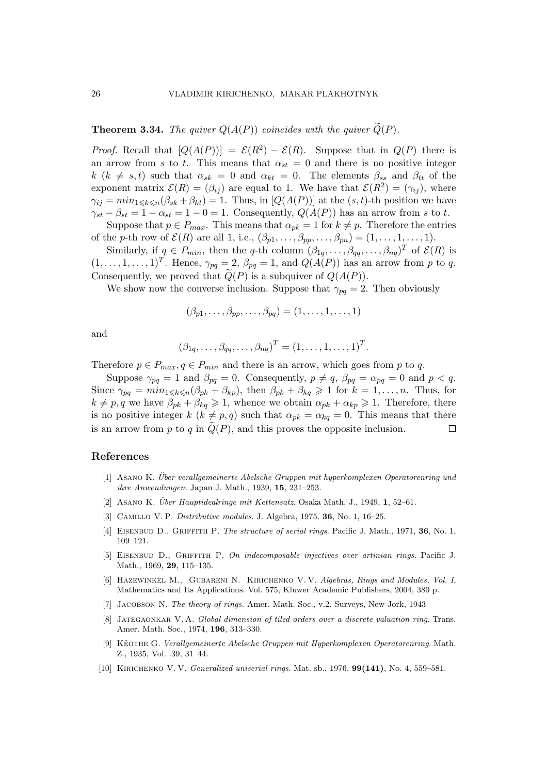**Theorem 3.34.** The quiver  $Q(A(P))$  coincides with the quiver  $\widetilde{Q}(P)$ .

*Proof.* Recall that  $[Q(A(P))] = \mathcal{E}(R^2) - \mathcal{E}(R)$ . Suppose that in  $Q(P)$  there is an arrow from s to t. This means that  $\alpha_{st} = 0$  and there is no positive integer k (k  $\neq s, t$ ) such that  $\alpha_{sk} = 0$  and  $\alpha_{kt} = 0$ . The elements  $\beta_{ss}$  and  $\beta_{tt}$  of the exponent matrix  $\mathcal{E}(R) = (\beta_{ij})$  are equal to 1. We have that  $\mathcal{E}(R^2) = (\gamma_{ij})$ , where  $\gamma_{ij} = min_{1 \leq k \leq n}(\beta_{sk} + \beta_{kt}) = 1$ . Thus, in  $[Q(A(P))]$  at the  $(s, t)$ -th position we have  $\gamma_{st} - \beta_{st} = 1 - \alpha_{st} = 1 - 0 = 1$ . Consequently,  $Q(A(P))$  has an arrow from s to t.

Suppose that  $p \in P_{max}$ . This means that  $\alpha_{pk} = 1$  for  $k \neq p$ . Therefore the entries of the p-th row of  $\mathcal{E}(R)$  are all 1, i.e.,  $(\beta_{p1}, \ldots, \beta_{pp}, \ldots, \beta_{pn}) = (1, \ldots, 1, \ldots, 1).$ 

Similarly, if  $q \in P_{min}$ , then the q-th column  $(\beta_{1q}, \ldots, \beta_{qq}, \ldots, \beta_{nq})^T$  of  $\mathcal{E}(R)$  is  $(1,\ldots,1,\ldots,1)^T$ . Hence,  $\gamma_{pq}=2$ ,  $\beta_{pq}=1$ , and  $Q(A(P))$  has an arrow from p to q. Consequently, we proved that  $\tilde{Q}(P)$  is a subquiver of  $Q(A(P))$ .

We show now the converse inclusion. Suppose that  $\gamma_{pq} = 2$ . Then obviously

$$
(\beta_{p1},\ldots,\beta_{pp},\ldots,\beta_{pq})=(1,\ldots,1,\ldots,1)
$$

and

$$
(\beta_{1q},\ldots,\beta_{qq},\ldots,\beta_{nq})^T=(1,\ldots,1,\ldots,1)^T.
$$

Therefore  $p \in P_{max}$ ,  $q \in P_{min}$  and there is an arrow, which goes from p to q.

Suppose  $\gamma_{pq} = 1$  and  $\beta_{pq} = 0$ . Consequently,  $p \neq q$ ,  $\beta_{pq} = \alpha_{pq} = 0$  and  $p < q$ . Since  $\gamma_{pq} = min_{1 \leq k \leq n}(\beta_{pk} + \beta_{kp}),$  then  $\beta_{pk} + \beta_{kq} \geq 1$  for  $k = 1, ..., n$ . Thus, for  $k \neq p, q$  we have  $\beta_{pk} + \beta_{kq} \geq 1$ , whence we obtain  $\alpha_{pk} + \alpha_{kp} \geq 1$ . Therefore, there is no positive integer  $k$   $(k \neq p, q)$  such that  $\alpha_{pk} = \alpha_{kq} = 0$ . This means that there is an arrow from p to q in  $\tilde{Q}(P)$ , and this proves the opposite inclusion.  $\Box$ 

# References

- [1] Asano K. Uber verallgemeinerte Abelsche Gruppen mit hyperkomplexen Operatorenring und ¨ ihre Anwendungen. Japan J. Math., 1939, 15, 231–253.
- [2] ASANO K. Über Hauptidealringe mit Kettensatz. Osaka Math. J., 1949, 1, 52–61.
- [3] Camillo V. P. Distributive modules. J. Algebra, 1975. 36, No. 1, 16–25.
- [4] EISENBUD D., GRIFFITH P. The structure of serial rings. Pacific J. Math., 1971, 36, No. 1, 109–121.
- [5] Eisenbud D., Griffith P. On indecomposable injectives over artinian rings. Pacific J. Math., 1969, 29, 115–135.
- [6] HAZEWINKEL M., GUBARENI N. KIRICHENKO V.V. Algebras, Rings and Modules, Vol. I, Mathematics and Its Applications. Vol. 575, Kluwer Academic Publishers, 2004, 380 p.
- [7] JACOBSON N. The theory of rings. Amer. Math. Soc., v.2, Surveys, New Jork, 1943
- [8] Jategaonkar V. A. Global dimension of tiled orders over a discrete valuation ring. Trans. Amer. Math. Soc., 1974, 196, 313–330.
- [9] KEOTHE G. Verallgemeinerte Abelsche Gruppen mit Hyperkomplexen Operatorenring. Math. Z., 1935, Vol. .39, 31–44.
- [10] KIRICHENKO V. V. Generalized uniserial rings. Mat. sb., 1976, 99(141), No. 4, 559–581.